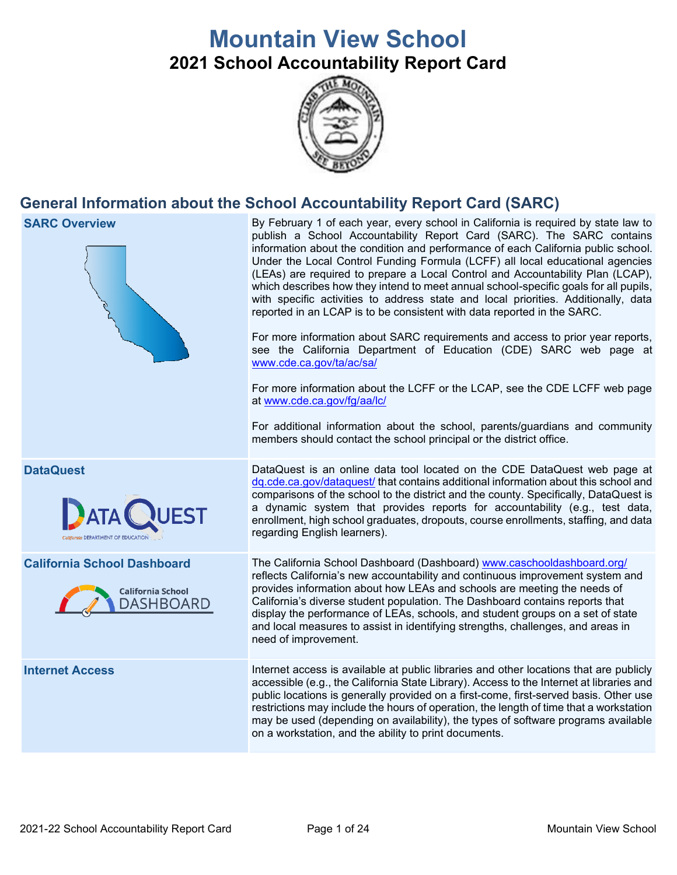# **Mountain View School 2021 School Accountability Report Card**



# **General Information about the School Accountability Report Card (SARC)**

| <b>SARC Overview</b>                                                               | By February 1 of each year, every school in California is required by state law to<br>publish a School Accountability Report Card (SARC). The SARC contains<br>information about the condition and performance of each California public school.<br>Under the Local Control Funding Formula (LCFF) all local educational agencies<br>(LEAs) are required to prepare a Local Control and Accountability Plan (LCAP),<br>which describes how they intend to meet annual school-specific goals for all pupils,<br>with specific activities to address state and local priorities. Additionally, data<br>reported in an LCAP is to be consistent with data reported in the SARC.<br>For more information about SARC requirements and access to prior year reports,<br>see the California Department of Education (CDE) SARC web page at<br>www.cde.ca.gov/ta/ac/sa/<br>For more information about the LCFF or the LCAP, see the CDE LCFF web page<br>at www.cde.ca.gov/fg/aa/lc/<br>For additional information about the school, parents/guardians and community<br>members should contact the school principal or the district office. |
|------------------------------------------------------------------------------------|-------------------------------------------------------------------------------------------------------------------------------------------------------------------------------------------------------------------------------------------------------------------------------------------------------------------------------------------------------------------------------------------------------------------------------------------------------------------------------------------------------------------------------------------------------------------------------------------------------------------------------------------------------------------------------------------------------------------------------------------------------------------------------------------------------------------------------------------------------------------------------------------------------------------------------------------------------------------------------------------------------------------------------------------------------------------------------------------------------------------------------------|
| <b>DataQuest</b><br>California DEPARTMENT OF EDUCATION                             | DataQuest is an online data tool located on the CDE DataQuest web page at<br>dq.cde.ca.gov/dataquest/ that contains additional information about this school and<br>comparisons of the school to the district and the county. Specifically, DataQuest is<br>a dynamic system that provides reports for accountability (e.g., test data,<br>enrollment, high school graduates, dropouts, course enrollments, staffing, and data<br>regarding English learners).                                                                                                                                                                                                                                                                                                                                                                                                                                                                                                                                                                                                                                                                      |
| <b>California School Dashboard</b><br><b>California School</b><br><b>DASHBOARD</b> | The California School Dashboard (Dashboard) www.caschooldashboard.org/<br>reflects California's new accountability and continuous improvement system and<br>provides information about how LEAs and schools are meeting the needs of<br>California's diverse student population. The Dashboard contains reports that<br>display the performance of LEAs, schools, and student groups on a set of state<br>and local measures to assist in identifying strengths, challenges, and areas in<br>need of improvement.                                                                                                                                                                                                                                                                                                                                                                                                                                                                                                                                                                                                                   |
| <b>Internet Access</b>                                                             | Internet access is available at public libraries and other locations that are publicly<br>accessible (e.g., the California State Library). Access to the Internet at libraries and<br>public locations is generally provided on a first-come, first-served basis. Other use<br>restrictions may include the hours of operation, the length of time that a workstation<br>may be used (depending on availability), the types of software programs available<br>on a workstation, and the ability to print documents.                                                                                                                                                                                                                                                                                                                                                                                                                                                                                                                                                                                                                 |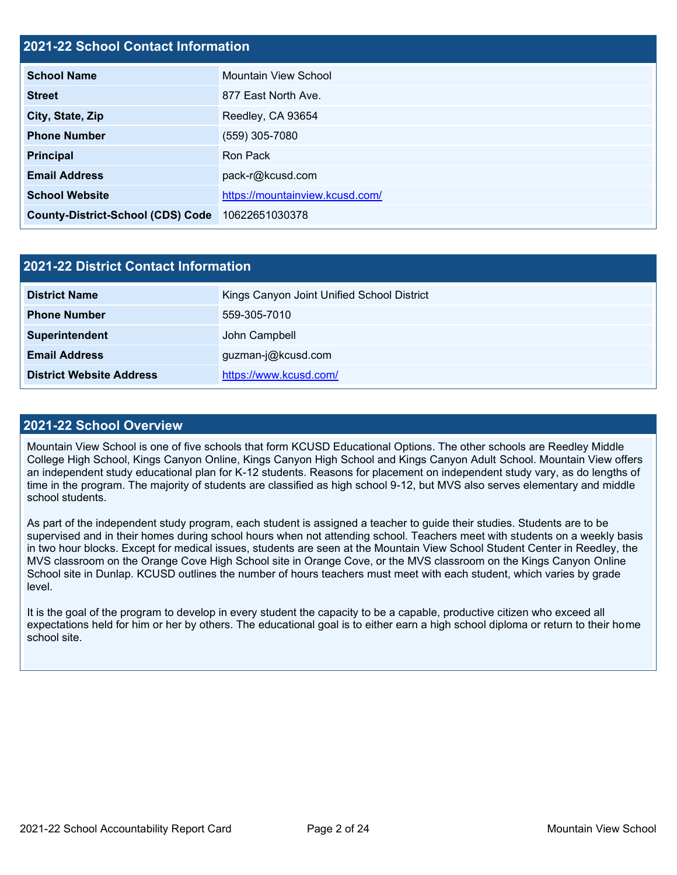# **2021-22 School Contact Information**

| <b>School Name</b>                       | Mountain View School            |
|------------------------------------------|---------------------------------|
| <b>Street</b>                            | 877 East North Ave.             |
| City, State, Zip                         | Reedley, CA 93654               |
| <b>Phone Number</b>                      | (559) 305-7080                  |
| <b>Principal</b>                         | Ron Pack                        |
| <b>Email Address</b>                     | pack-r@kcusd.com                |
| <b>School Website</b>                    | https://mountainview.kcusd.com/ |
| <b>County-District-School (CDS) Code</b> | 10622651030378                  |

| 2021-22 District Contact Information |                                            |  |  |  |
|--------------------------------------|--------------------------------------------|--|--|--|
| <b>District Name</b>                 | Kings Canyon Joint Unified School District |  |  |  |
| <b>Phone Number</b>                  | 559-305-7010                               |  |  |  |
| Superintendent                       | John Campbell                              |  |  |  |
| <b>Email Address</b>                 | guzman-j@kcusd.com                         |  |  |  |
| <b>District Website Address</b>      | https://www.kcusd.com/                     |  |  |  |

#### **2021-22 School Overview**

Mountain View School is one of five schools that form KCUSD Educational Options. The other schools are Reedley Middle College High School, Kings Canyon Online, Kings Canyon High School and Kings Canyon Adult School. Mountain View offers an independent study educational plan for K-12 students. Reasons for placement on independent study vary, as do lengths of time in the program. The majority of students are classified as high school 9-12, but MVS also serves elementary and middle school students.

As part of the independent study program, each student is assigned a teacher to guide their studies. Students are to be supervised and in their homes during school hours when not attending school. Teachers meet with students on a weekly basis in two hour blocks. Except for medical issues, students are seen at the Mountain View School Student Center in Reedley, the MVS classroom on the Orange Cove High School site in Orange Cove, or the MVS classroom on the Kings Canyon Online School site in Dunlap. KCUSD outlines the number of hours teachers must meet with each student, which varies by grade level.

It is the goal of the program to develop in every student the capacity to be a capable, productive citizen who exceed all expectations held for him or her by others. The educational goal is to either earn a high school diploma or return to their home school site.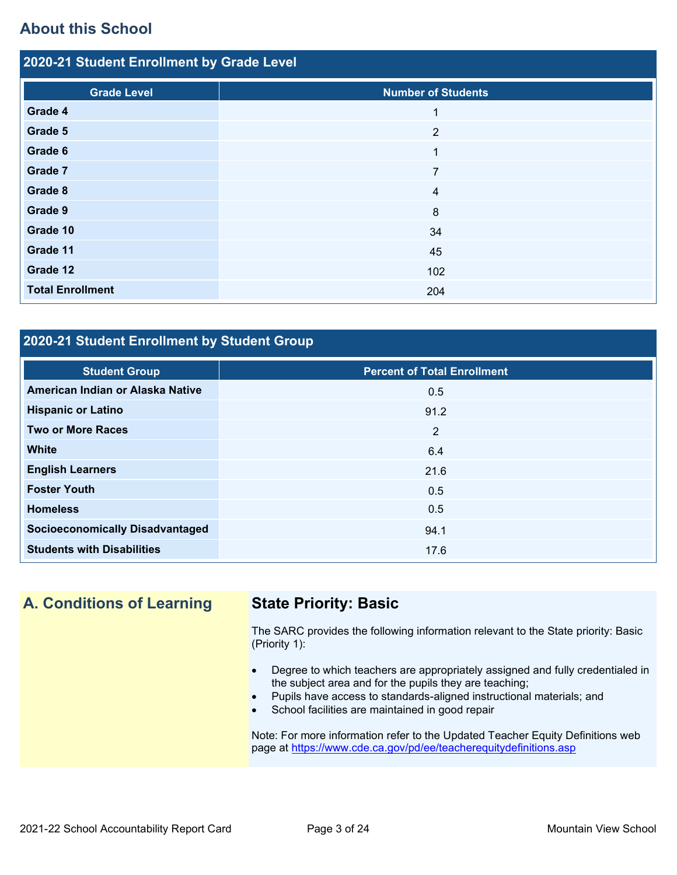# **About this School**

| 2020-21 Student Enrollment by Grade Level |                           |  |  |  |
|-------------------------------------------|---------------------------|--|--|--|
| <b>Grade Level</b>                        | <b>Number of Students</b> |  |  |  |
| Grade 4                                   | 1                         |  |  |  |
| Grade 5                                   | $\overline{2}$            |  |  |  |
| Grade 6                                   | $\mathbf{1}$              |  |  |  |
| Grade 7                                   | $\overline{7}$            |  |  |  |
| Grade 8                                   | $\overline{4}$            |  |  |  |
| Grade 9                                   | 8                         |  |  |  |
| Grade 10                                  | 34                        |  |  |  |
| Grade 11                                  | 45                        |  |  |  |
| Grade 12                                  | 102                       |  |  |  |
| <b>Total Enrollment</b>                   | 204                       |  |  |  |

# **2020-21 Student Enrollment by Student Group**

| <b>Student Group</b>                   | <b>Percent of Total Enrollment</b> |
|----------------------------------------|------------------------------------|
| American Indian or Alaska Native       | 0.5                                |
| <b>Hispanic or Latino</b>              | 91.2                               |
| <b>Two or More Races</b>               | 2                                  |
| <b>White</b>                           | 6.4                                |
| <b>English Learners</b>                | 21.6                               |
| <b>Foster Youth</b>                    | 0.5                                |
| <b>Homeless</b>                        | 0.5                                |
| <b>Socioeconomically Disadvantaged</b> | 94.1                               |
| <b>Students with Disabilities</b>      | 17.6                               |

**A. Conditions of Learning State Priority: Basic**

The SARC provides the following information relevant to the State priority: Basic (Priority 1):

- Degree to which teachers are appropriately assigned and fully credentialed in the subject area and for the pupils they are teaching;
- Pupils have access to standards-aligned instructional materials; and
- School facilities are maintained in good repair

Note: For more information refer to the Updated Teacher Equity Definitions web page at<https://www.cde.ca.gov/pd/ee/teacherequitydefinitions.asp>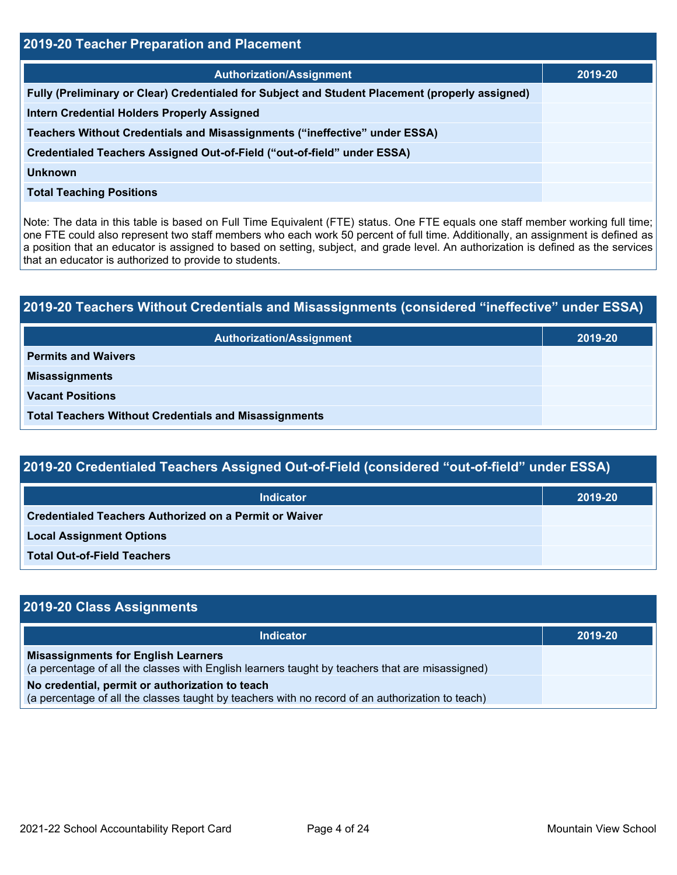| 2019-20 Teacher Preparation and Placement                                                       |         |  |  |  |
|-------------------------------------------------------------------------------------------------|---------|--|--|--|
| <b>Authorization/Assignment</b>                                                                 | 2019-20 |  |  |  |
| Fully (Preliminary or Clear) Credentialed for Subject and Student Placement (properly assigned) |         |  |  |  |
| <b>Intern Credential Holders Properly Assigned</b>                                              |         |  |  |  |
| Teachers Without Credentials and Misassignments ("ineffective" under ESSA)                      |         |  |  |  |
| Credentialed Teachers Assigned Out-of-Field ("out-of-field" under ESSA)                         |         |  |  |  |
| <b>Unknown</b>                                                                                  |         |  |  |  |
| <b>Total Teaching Positions</b>                                                                 |         |  |  |  |

Note: The data in this table is based on Full Time Equivalent (FTE) status. One FTE equals one staff member working full time; one FTE could also represent two staff members who each work 50 percent of full time. Additionally, an assignment is defined as a position that an educator is assigned to based on setting, subject, and grade level. An authorization is defined as the services that an educator is authorized to provide to students.

# **2019-20 Teachers Without Credentials and Misassignments (considered "ineffective" under ESSA) Authorization/Assignment 2019-20 Permits and Waivers Misassignments Vacant Positions Total Teachers Without Credentials and Misassignments**

| 2019-20 Credentialed Teachers Assigned Out-of-Field (considered "out-of-field" under ESSA) |         |  |  |  |
|--------------------------------------------------------------------------------------------|---------|--|--|--|
| <b>Indicator</b>                                                                           | 2019-20 |  |  |  |
| <b>Credentialed Teachers Authorized on a Permit or Waiver</b>                              |         |  |  |  |
| <b>Local Assignment Options</b>                                                            |         |  |  |  |

**Total Out-of-Field Teachers**

| 2019-20 Class Assignments                                                                                                                           |         |  |  |  |
|-----------------------------------------------------------------------------------------------------------------------------------------------------|---------|--|--|--|
| <b>Indicator</b>                                                                                                                                    | 2019-20 |  |  |  |
| <b>Misassignments for English Learners</b><br>(a percentage of all the classes with English learners taught by teachers that are misassigned)       |         |  |  |  |
| No credential, permit or authorization to teach<br>(a percentage of all the classes taught by teachers with no record of an authorization to teach) |         |  |  |  |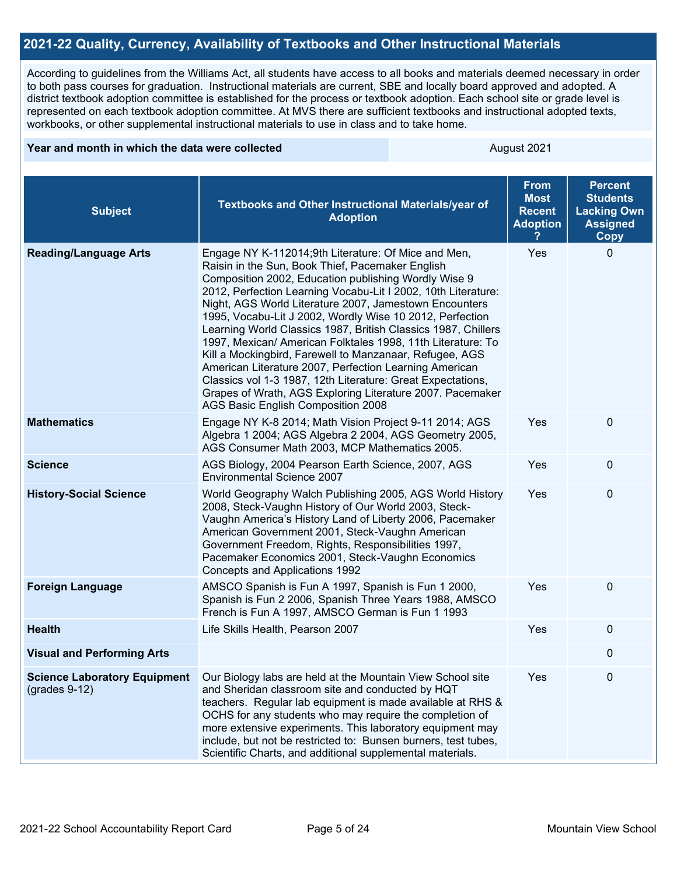# **2021-22 Quality, Currency, Availability of Textbooks and Other Instructional Materials**

According to guidelines from the Williams Act, all students have access to all books and materials deemed necessary in order to both pass courses for graduation. Instructional materials are current, SBE and locally board approved and adopted. A district textbook adoption committee is established for the process or textbook adoption. Each school site or grade level is represented on each textbook adoption committee. At MVS there are sufficient textbooks and instructional adopted texts, workbooks, or other supplemental instructional materials to use in class and to take home.

#### **Year and month in which the data were collected** August 2021

| <b>Subject</b>                                         | Textbooks and Other Instructional Materials/year of<br><b>Adoption</b>                                                                                                                                                                                                                                                                                                                                                                                                                                                                                                                                                                                                                                                                                                        | <b>From</b><br><b>Most</b><br><b>Recent</b><br><b>Adoption</b> | <b>Percent</b><br><b>Students</b><br><b>Lacking Own</b><br><b>Assigned</b><br><b>Copy</b> |
|--------------------------------------------------------|-------------------------------------------------------------------------------------------------------------------------------------------------------------------------------------------------------------------------------------------------------------------------------------------------------------------------------------------------------------------------------------------------------------------------------------------------------------------------------------------------------------------------------------------------------------------------------------------------------------------------------------------------------------------------------------------------------------------------------------------------------------------------------|----------------------------------------------------------------|-------------------------------------------------------------------------------------------|
| <b>Reading/Language Arts</b>                           | Engage NY K-112014;9th Literature: Of Mice and Men,<br>Raisin in the Sun, Book Thief, Pacemaker English<br>Composition 2002, Education publishing Wordly Wise 9<br>2012, Perfection Learning Vocabu-Lit I 2002, 10th Literature:<br>Night, AGS World Literature 2007, Jamestown Encounters<br>1995, Vocabu-Lit J 2002, Wordly Wise 10 2012, Perfection<br>Learning World Classics 1987, British Classics 1987, Chillers<br>1997, Mexican/ American Folktales 1998, 11th Literature: To<br>Kill a Mockingbird, Farewell to Manzanaar, Refugee, AGS<br>American Literature 2007, Perfection Learning American<br>Classics vol 1-3 1987, 12th Literature: Great Expectations,<br>Grapes of Wrath, AGS Exploring Literature 2007. Pacemaker<br>AGS Basic English Composition 2008 | Yes                                                            | $\Omega$                                                                                  |
| <b>Mathematics</b>                                     | Engage NY K-8 2014; Math Vision Project 9-11 2014; AGS<br>Algebra 1 2004; AGS Algebra 2 2004, AGS Geometry 2005,<br>AGS Consumer Math 2003, MCP Mathematics 2005.                                                                                                                                                                                                                                                                                                                                                                                                                                                                                                                                                                                                             | Yes                                                            | 0                                                                                         |
| <b>Science</b>                                         | AGS Biology, 2004 Pearson Earth Science, 2007, AGS<br><b>Environmental Science 2007</b>                                                                                                                                                                                                                                                                                                                                                                                                                                                                                                                                                                                                                                                                                       | Yes                                                            | 0                                                                                         |
| <b>History-Social Science</b>                          | World Geography Walch Publishing 2005, AGS World History<br>2008, Steck-Vaughn History of Our World 2003, Steck-<br>Vaughn America's History Land of Liberty 2006, Pacemaker<br>American Government 2001, Steck-Vaughn American<br>Government Freedom, Rights, Responsibilities 1997,<br>Pacemaker Economics 2001, Steck-Vaughn Economics<br>Concepts and Applications 1992                                                                                                                                                                                                                                                                                                                                                                                                   | Yes                                                            | 0                                                                                         |
| <b>Foreign Language</b>                                | AMSCO Spanish is Fun A 1997, Spanish is Fun 1 2000,<br>Spanish is Fun 2 2006, Spanish Three Years 1988, AMSCO<br>French is Fun A 1997, AMSCO German is Fun 1 1993                                                                                                                                                                                                                                                                                                                                                                                                                                                                                                                                                                                                             | Yes                                                            | 0                                                                                         |
| <b>Health</b>                                          | Life Skills Health, Pearson 2007                                                                                                                                                                                                                                                                                                                                                                                                                                                                                                                                                                                                                                                                                                                                              | Yes                                                            | $\Omega$                                                                                  |
| <b>Visual and Performing Arts</b>                      |                                                                                                                                                                                                                                                                                                                                                                                                                                                                                                                                                                                                                                                                                                                                                                               |                                                                | 0                                                                                         |
| <b>Science Laboratory Equipment</b><br>$(grades 9-12)$ | Our Biology labs are held at the Mountain View School site<br>and Sheridan classroom site and conducted by HQT<br>teachers. Regular lab equipment is made available at RHS &<br>OCHS for any students who may require the completion of<br>more extensive experiments. This laboratory equipment may<br>include, but not be restricted to: Bunsen burners, test tubes,<br>Scientific Charts, and additional supplemental materials.                                                                                                                                                                                                                                                                                                                                           | Yes                                                            | 0                                                                                         |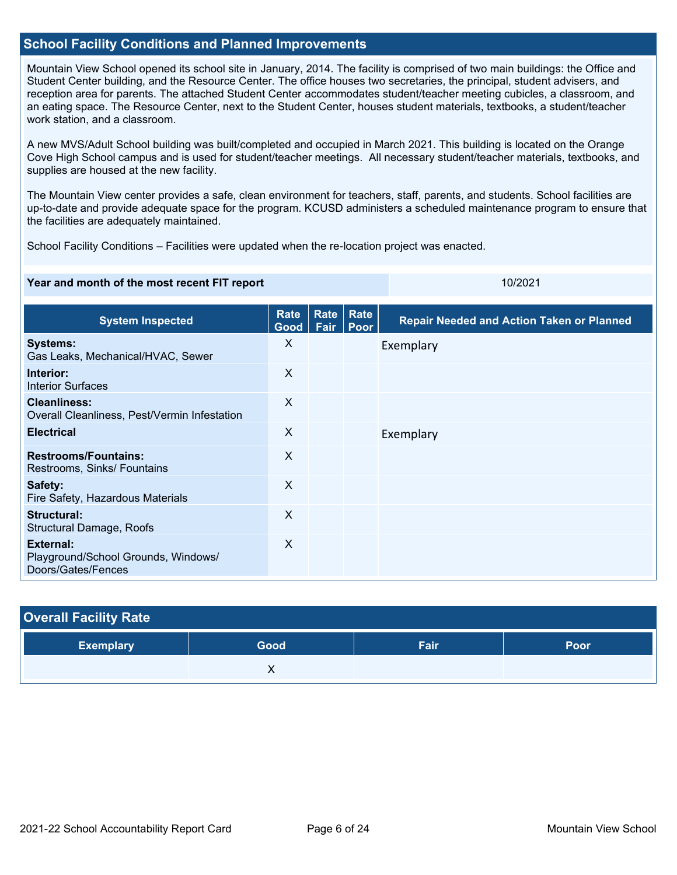### **School Facility Conditions and Planned Improvements**

Mountain View School opened its school site in January, 2014. The facility is comprised of two main buildings: the Office and Student Center building, and the Resource Center. The office houses two secretaries, the principal, student advisers, and reception area for parents. The attached Student Center accommodates student/teacher meeting cubicles, a classroom, and an eating space. The Resource Center, next to the Student Center, houses student materials, textbooks, a student/teacher work station, and a classroom.

A new MVS/Adult School building was built/completed and occupied in March 2021. This building is located on the Orange Cove High School campus and is used for student/teacher meetings. All necessary student/teacher materials, textbooks, and supplies are housed at the new facility.

The Mountain View center provides a safe, clean environment for teachers, staff, parents, and students. School facilities are up-to-date and provide adequate space for the program. KCUSD administers a scheduled maintenance program to ensure that the facilities are adequately maintained.

School Facility Conditions – Facilities were updated when the re-location project was enacted.

#### **Year and month of the most recent FIT report** 10/2021 10/2021

| <b>System Inspected</b>                                                | Rate<br>Good              | Rate<br>Fair | <b>Rate</b><br>Poor | <b>Repair Needed and Action Taken or Planned</b> |
|------------------------------------------------------------------------|---------------------------|--------------|---------------------|--------------------------------------------------|
| <b>Systems:</b><br>Gas Leaks, Mechanical/HVAC, Sewer                   | X                         |              |                     | Exemplary                                        |
| Interior:<br><b>Interior Surfaces</b>                                  | X                         |              |                     |                                                  |
| <b>Cleanliness:</b><br>Overall Cleanliness, Pest/Vermin Infestation    | $\mathsf{X}$              |              |                     |                                                  |
| <b>Electrical</b>                                                      | X                         |              |                     | Exemplary                                        |
| <b>Restrooms/Fountains:</b><br>Restrooms, Sinks/ Fountains             | X                         |              |                     |                                                  |
| Safety:<br>Fire Safety, Hazardous Materials                            | $\boldsymbol{\mathsf{X}}$ |              |                     |                                                  |
| Structural:<br>Structural Damage, Roofs                                | $\mathsf{X}$              |              |                     |                                                  |
| External:<br>Playground/School Grounds, Windows/<br>Doors/Gates/Fences | X                         |              |                     |                                                  |

| <b>Overall Facility Rate</b> |      |      |      |  |  |
|------------------------------|------|------|------|--|--|
| <b>Exemplary</b>             | Good | Fair | Poor |  |  |
|                              |      |      |      |  |  |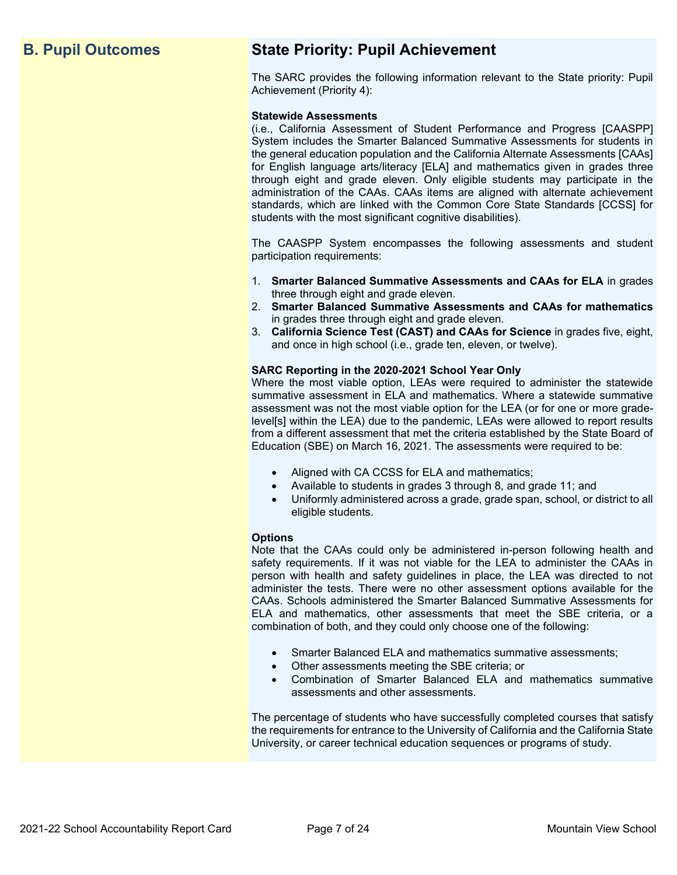# **B. Pupil Outcomes State Priority: Pupil Achievement**

The SARC provides the following information relevant to the State priority: Pupil Achievement (Priority 4):

#### **Statewide Assessments**

(i.e., California Assessment of Student Performance and Progress [CAASPP] System includes the Smarter Balanced Summative Assessments for students in the general education population and the California Alternate Assessments [CAAs] for English language arts/literacy [ELA] and mathematics given in grades three through eight and grade eleven. Only eligible students may participate in the administration of the CAAs. CAAs items are aligned with alternate achievement standards, which are linked with the Common Core State Standards [CCSS] for students with the most significant cognitive disabilities).

The CAASPP System encompasses the following assessments and student participation requirements:

- 1. **Smarter Balanced Summative Assessments and CAAs for ELA** in grades three through eight and grade eleven.
- 2. **Smarter Balanced Summative Assessments and CAAs for mathematics** in grades three through eight and grade eleven.
- 3. **California Science Test (CAST) and CAAs for Science** in grades five, eight, and once in high school (i.e., grade ten, eleven, or twelve).

#### **SARC Reporting in the 2020-2021 School Year Only**

Where the most viable option, LEAs were required to administer the statewide summative assessment in ELA and mathematics. Where a statewide summative assessment was not the most viable option for the LEA (or for one or more gradelevel[s] within the LEA) due to the pandemic, LEAs were allowed to report results from a different assessment that met the criteria established by the State Board of Education (SBE) on March 16, 2021. The assessments were required to be:

- Aligned with CA CCSS for ELA and mathematics;
- Available to students in grades 3 through 8, and grade 11; and
- Uniformly administered across a grade, grade span, school, or district to all eligible students.

#### **Options**

Note that the CAAs could only be administered in-person following health and safety requirements. If it was not viable for the LEA to administer the CAAs in person with health and safety guidelines in place, the LEA was directed to not administer the tests. There were no other assessment options available for the CAAs. Schools administered the Smarter Balanced Summative Assessments for ELA and mathematics, other assessments that meet the SBE criteria, or a combination of both, and they could only choose one of the following:

- Smarter Balanced ELA and mathematics summative assessments;
- Other assessments meeting the SBE criteria; or
- Combination of Smarter Balanced ELA and mathematics summative assessments and other assessments.

The percentage of students who have successfully completed courses that satisfy the requirements for entrance to the University of California and the California State University, or career technical education sequences or programs of study.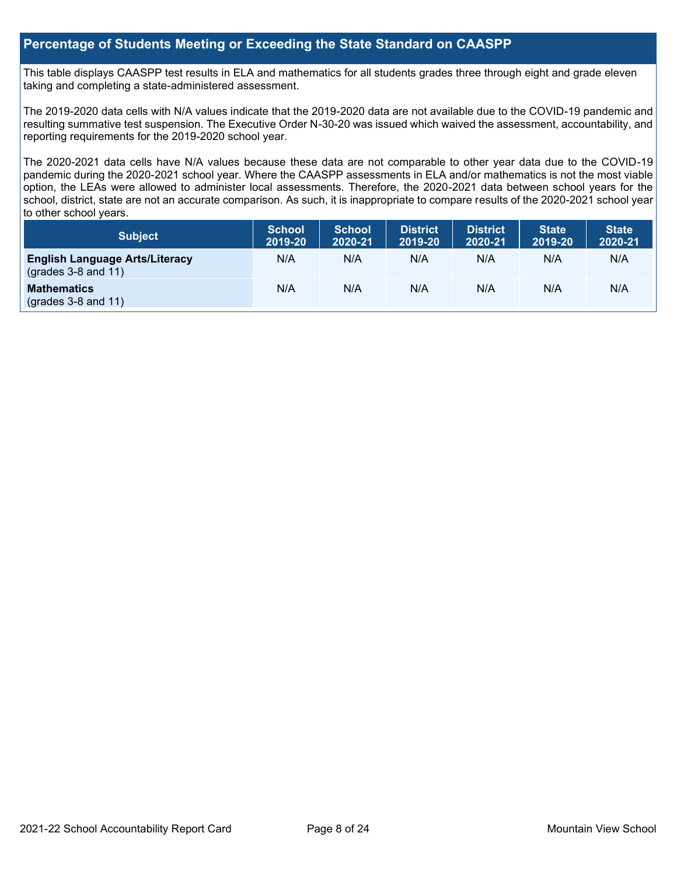# **Percentage of Students Meeting or Exceeding the State Standard on CAASPP**

This table displays CAASPP test results in ELA and mathematics for all students grades three through eight and grade eleven taking and completing a state-administered assessment.

The 2019-2020 data cells with N/A values indicate that the 2019-2020 data are not available due to the COVID-19 pandemic and resulting summative test suspension. The Executive Order N-30-20 was issued which waived the assessment, accountability, and reporting requirements for the 2019-2020 school year.

The 2020-2021 data cells have N/A values because these data are not comparable to other year data due to the COVID-19 pandemic during the 2020-2021 school year. Where the CAASPP assessments in ELA and/or mathematics is not the most viable option, the LEAs were allowed to administer local assessments. Therefore, the 2020-2021 data between school years for the school, district, state are not an accurate comparison. As such, it is inappropriate to compare results of the 2020-2021 school year to other school years.

| Subject                                                              | <b>School</b><br>2019-20 | <b>School</b><br>2020-21 | <b>District</b><br>2019-20 | <b>District</b><br>2020-21 | <b>State</b><br>2019-20 | <b>State</b><br>2020-21 |
|----------------------------------------------------------------------|--------------------------|--------------------------|----------------------------|----------------------------|-------------------------|-------------------------|
| <b>English Language Arts/Literacy</b><br>$\left($ grades 3-8 and 11) | N/A                      | N/A                      | N/A                        | N/A                        | N/A                     | N/A                     |
| <b>Mathematics</b><br>$(grades 3-8 and 11)$                          | N/A                      | N/A                      | N/A                        | N/A                        | N/A                     | N/A                     |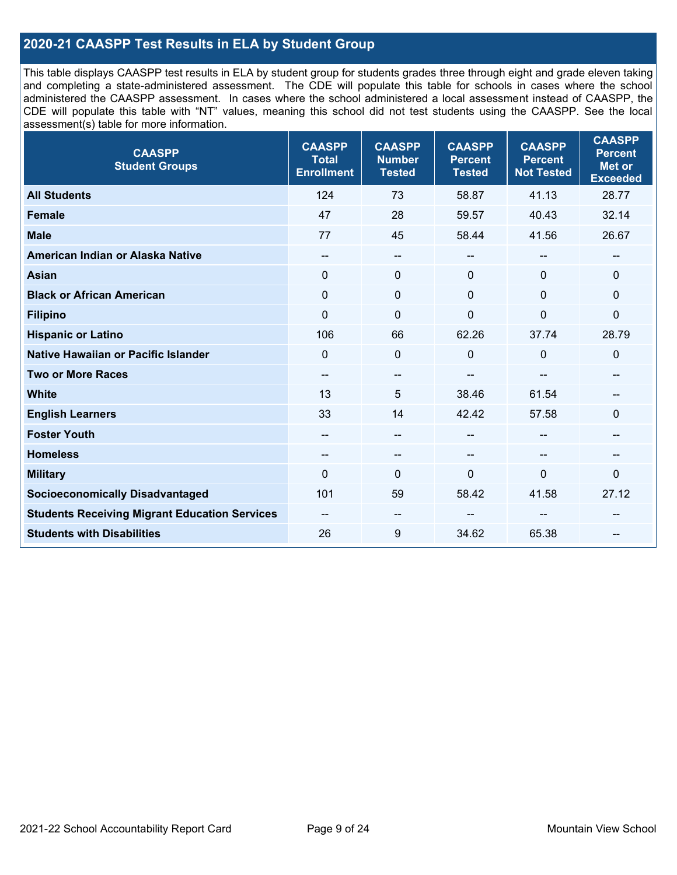# **2020-21 CAASPP Test Results in ELA by Student Group**

This table displays CAASPP test results in ELA by student group for students grades three through eight and grade eleven taking and completing a state-administered assessment. The CDE will populate this table for schools in cases where the school administered the CAASPP assessment. In cases where the school administered a local assessment instead of CAASPP, the CDE will populate this table with "NT" values, meaning this school did not test students using the CAASPP. See the local assessment(s) table for more information.

| <b>CAASPP</b><br><b>Student Groups</b>               | <b>CAASPP</b><br><b>Total</b><br><b>Enrollment</b> | <b>CAASPP</b><br><b>Number</b><br><b>Tested</b> | <b>CAASPP</b><br><b>Percent</b><br><b>Tested</b> | <b>CAASPP</b><br><b>Percent</b><br><b>Not Tested</b> | <b>CAASPP</b><br><b>Percent</b><br><b>Met or</b><br><b>Exceeded</b> |
|------------------------------------------------------|----------------------------------------------------|-------------------------------------------------|--------------------------------------------------|------------------------------------------------------|---------------------------------------------------------------------|
| <b>All Students</b>                                  | 124                                                | 73                                              | 58.87                                            | 41.13                                                | 28.77                                                               |
| Female                                               | 47                                                 | 28                                              | 59.57                                            | 40.43                                                | 32.14                                                               |
| <b>Male</b>                                          | 77                                                 | 45                                              | 58.44                                            | 41.56                                                | 26.67                                                               |
| American Indian or Alaska Native                     | --                                                 | $\overline{\phantom{m}}$                        | --                                               | $\sim$                                               | --                                                                  |
| <b>Asian</b>                                         | $\mathbf{0}$                                       | $\mathbf 0$                                     | $\mathbf{0}$                                     | $\Omega$                                             | 0                                                                   |
| <b>Black or African American</b>                     | $\mathbf{0}$                                       | $\mathbf 0$                                     | $\Omega$                                         | $\Omega$                                             | $\Omega$                                                            |
| <b>Filipino</b>                                      | $\mathbf 0$                                        | $\mathbf 0$                                     | $\Omega$                                         | $\overline{0}$                                       | 0                                                                   |
| <b>Hispanic or Latino</b>                            | 106                                                | 66                                              | 62.26                                            | 37.74                                                | 28.79                                                               |
| <b>Native Hawaiian or Pacific Islander</b>           | $\Omega$                                           | $\pmb{0}$                                       | 0                                                | $\mathbf 0$                                          | 0                                                                   |
| <b>Two or More Races</b>                             | $\overline{\phantom{a}}$                           | $\qquad \qquad -$                               |                                                  |                                                      |                                                                     |
| <b>White</b>                                         | 13                                                 | 5                                               | 38.46                                            | 61.54                                                | --                                                                  |
| <b>English Learners</b>                              | 33                                                 | 14                                              | 42.42                                            | 57.58                                                | $\Omega$                                                            |
| <b>Foster Youth</b>                                  | $- -$                                              | $\overline{\phantom{a}}$                        | --                                               | --                                                   | --                                                                  |
| <b>Homeless</b>                                      | --                                                 | $\sim$                                          | --                                               | $\sim$                                               | --                                                                  |
| <b>Military</b>                                      | $\Omega$                                           | $\mathbf 0$                                     | $\Omega$                                         | 0                                                    | 0                                                                   |
| <b>Socioeconomically Disadvantaged</b>               | 101                                                | 59                                              | 58.42                                            | 41.58                                                | 27.12                                                               |
| <b>Students Receiving Migrant Education Services</b> | $- -$                                              | --                                              |                                                  |                                                      |                                                                     |
| <b>Students with Disabilities</b>                    | 26                                                 | 9                                               | 34.62                                            | 65.38                                                |                                                                     |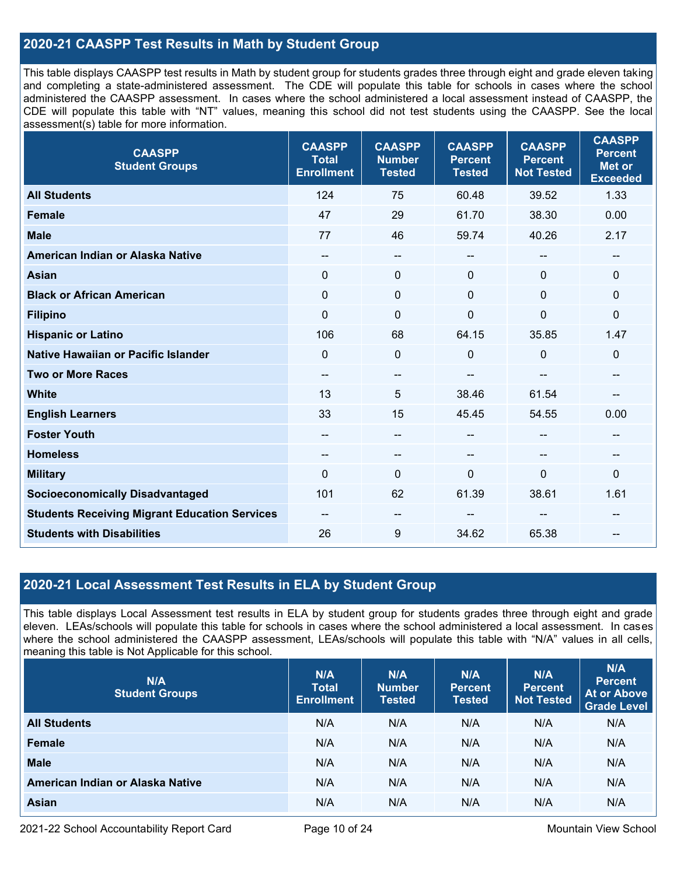# **2020-21 CAASPP Test Results in Math by Student Group**

This table displays CAASPP test results in Math by student group for students grades three through eight and grade eleven taking and completing a state-administered assessment. The CDE will populate this table for schools in cases where the school administered the CAASPP assessment. In cases where the school administered a local assessment instead of CAASPP, the CDE will populate this table with "NT" values, meaning this school did not test students using the CAASPP. See the local assessment(s) table for more information.

| <b>CAASPP</b><br><b>Student Groups</b>               | <b>CAASPP</b><br><b>Total</b><br><b>Enrollment</b> | <b>CAASPP</b><br><b>Number</b><br><b>Tested</b> | <b>CAASPP</b><br><b>Percent</b><br><b>Tested</b> | <b>CAASPP</b><br><b>Percent</b><br><b>Not Tested</b> | <b>CAASPP</b><br><b>Percent</b><br><b>Met or</b><br><b>Exceeded</b> |
|------------------------------------------------------|----------------------------------------------------|-------------------------------------------------|--------------------------------------------------|------------------------------------------------------|---------------------------------------------------------------------|
| <b>All Students</b>                                  | 124                                                | 75                                              | 60.48                                            | 39.52                                                | 1.33                                                                |
| <b>Female</b>                                        | 47                                                 | 29                                              | 61.70                                            | 38.30                                                | 0.00                                                                |
| <b>Male</b>                                          | 77                                                 | 46                                              | 59.74                                            | 40.26                                                | 2.17                                                                |
| American Indian or Alaska Native                     | $\qquad \qquad -$                                  | --                                              | --                                               | --                                                   | $\overline{\phantom{a}}$                                            |
| <b>Asian</b>                                         | $\mathbf{0}$                                       | 0                                               | $\mathbf{0}$                                     | $\Omega$                                             | $\mathbf 0$                                                         |
| <b>Black or African American</b>                     | $\mathbf 0$                                        | 0                                               | $\mathbf{0}$                                     | $\Omega$                                             | $\mathbf 0$                                                         |
| <b>Filipino</b>                                      | $\mathbf 0$                                        | $\mathbf 0$                                     | $\mathbf{0}$                                     | $\mathbf 0$                                          | $\mathbf 0$                                                         |
| <b>Hispanic or Latino</b>                            | 106                                                | 68                                              | 64.15                                            | 35.85                                                | 1.47                                                                |
| Native Hawaiian or Pacific Islander                  | $\Omega$                                           | $\mathbf 0$                                     | $\mathbf{0}$                                     | 0                                                    | $\mathbf 0$                                                         |
| <b>Two or More Races</b>                             | $\qquad \qquad -$                                  | --                                              |                                                  | --                                                   | --                                                                  |
| <b>White</b>                                         | 13                                                 | 5                                               | 38.46                                            | 61.54                                                |                                                                     |
| <b>English Learners</b>                              | 33                                                 | 15                                              | 45.45                                            | 54.55                                                | 0.00                                                                |
| <b>Foster Youth</b>                                  | --                                                 | $-$                                             | --                                               |                                                      | --                                                                  |
| <b>Homeless</b>                                      | $\qquad \qquad -$                                  | --                                              | --                                               | --                                                   | $\sim$                                                              |
| <b>Military</b>                                      | $\Omega$                                           | 0                                               | $\mathbf 0$                                      | $\mathbf{0}$                                         | 0                                                                   |
| <b>Socioeconomically Disadvantaged</b>               | 101                                                | 62                                              | 61.39                                            | 38.61                                                | 1.61                                                                |
| <b>Students Receiving Migrant Education Services</b> | --                                                 | --                                              |                                                  |                                                      |                                                                     |
| <b>Students with Disabilities</b>                    | 26                                                 | 9                                               | 34.62                                            | 65.38                                                |                                                                     |

# **2020-21 Local Assessment Test Results in ELA by Student Group**

This table displays Local Assessment test results in ELA by student group for students grades three through eight and grade eleven. LEAs/schools will populate this table for schools in cases where the school administered a local assessment. In cases where the school administered the CAASPP assessment, LEAs/schools will populate this table with "N/A" values in all cells, meaning this table is Not Applicable for this school.

| N/A<br><b>Student Groups</b>     | N/A<br><b>Total</b><br><b>Enrollment</b> | N/A<br><b>Number</b><br><b>Tested</b> | N/A<br><b>Percent</b><br><b>Tested</b> | N/A<br>Percent<br><b>Not Tested</b> | N/A<br><b>Percent</b><br><b>At or Above</b><br><b>Grade Level</b> |
|----------------------------------|------------------------------------------|---------------------------------------|----------------------------------------|-------------------------------------|-------------------------------------------------------------------|
| <b>All Students</b>              | N/A                                      | N/A                                   | N/A                                    | N/A                                 | N/A                                                               |
| Female                           | N/A                                      | N/A                                   | N/A                                    | N/A                                 | N/A                                                               |
| <b>Male</b>                      | N/A                                      | N/A                                   | N/A                                    | N/A                                 | N/A                                                               |
| American Indian or Alaska Native | N/A                                      | N/A                                   | N/A                                    | N/A                                 | N/A                                                               |
| <b>Asian</b>                     | N/A                                      | N/A                                   | N/A                                    | N/A                                 | N/A                                                               |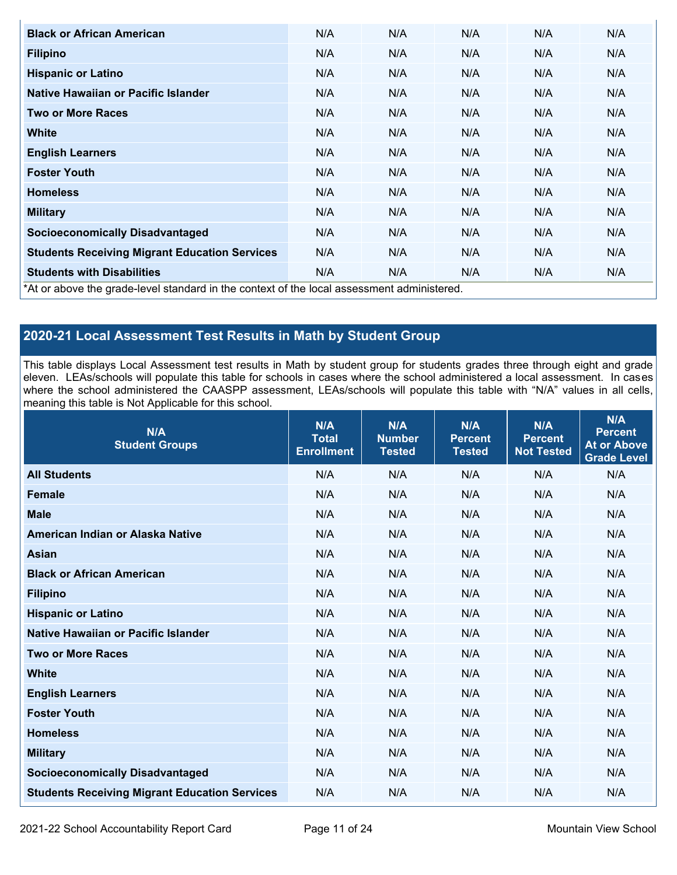| <b>Black or African American</b>                                                          | N/A | N/A | N/A | N/A | N/A |
|-------------------------------------------------------------------------------------------|-----|-----|-----|-----|-----|
| <b>Filipino</b>                                                                           | N/A | N/A | N/A | N/A | N/A |
| <b>Hispanic or Latino</b>                                                                 | N/A | N/A | N/A | N/A | N/A |
| Native Hawaiian or Pacific Islander                                                       | N/A | N/A | N/A | N/A | N/A |
| <b>Two or More Races</b>                                                                  | N/A | N/A | N/A | N/A | N/A |
| White                                                                                     | N/A | N/A | N/A | N/A | N/A |
| <b>English Learners</b>                                                                   | N/A | N/A | N/A | N/A | N/A |
| <b>Foster Youth</b>                                                                       | N/A | N/A | N/A | N/A | N/A |
| <b>Homeless</b>                                                                           | N/A | N/A | N/A | N/A | N/A |
| <b>Military</b>                                                                           | N/A | N/A | N/A | N/A | N/A |
| <b>Socioeconomically Disadvantaged</b>                                                    | N/A | N/A | N/A | N/A | N/A |
| <b>Students Receiving Migrant Education Services</b>                                      | N/A | N/A | N/A | N/A | N/A |
| <b>Students with Disabilities</b>                                                         | N/A | N/A | N/A | N/A | N/A |
| *At or above the grade-level standard in the context of the local assessment administered |     |     |     |     |     |

\*At or above the grade-level standard in the context of the local assessment administered.

# **2020-21 Local Assessment Test Results in Math by Student Group**

This table displays Local Assessment test results in Math by student group for students grades three through eight and grade eleven. LEAs/schools will populate this table for schools in cases where the school administered a local assessment. In cases where the school administered the CAASPP assessment, LEAs/schools will populate this table with "N/A" values in all cells, meaning this table is Not Applicable for this school.

| N/A<br><b>Student Groups</b>                         | N/A<br><b>Total</b><br><b>Enrollment</b> | N/A<br><b>Number</b><br><b>Tested</b> | N/A<br><b>Percent</b><br><b>Tested</b> | N/A<br><b>Percent</b><br><b>Not Tested</b> | N/A<br><b>Percent</b><br><b>At or Above</b><br><b>Grade Level</b> |
|------------------------------------------------------|------------------------------------------|---------------------------------------|----------------------------------------|--------------------------------------------|-------------------------------------------------------------------|
| <b>All Students</b>                                  | N/A                                      | N/A                                   | N/A                                    | N/A                                        | N/A                                                               |
| <b>Female</b>                                        | N/A                                      | N/A                                   | N/A                                    | N/A                                        | N/A                                                               |
| <b>Male</b>                                          | N/A                                      | N/A                                   | N/A                                    | N/A                                        | N/A                                                               |
| American Indian or Alaska Native                     | N/A                                      | N/A                                   | N/A                                    | N/A                                        | N/A                                                               |
| <b>Asian</b>                                         | N/A                                      | N/A                                   | N/A                                    | N/A                                        | N/A                                                               |
| <b>Black or African American</b>                     | N/A                                      | N/A                                   | N/A                                    | N/A                                        | N/A                                                               |
| <b>Filipino</b>                                      | N/A                                      | N/A                                   | N/A                                    | N/A                                        | N/A                                                               |
| <b>Hispanic or Latino</b>                            | N/A                                      | N/A                                   | N/A                                    | N/A                                        | N/A                                                               |
| Native Hawaiian or Pacific Islander                  | N/A                                      | N/A                                   | N/A                                    | N/A                                        | N/A                                                               |
| <b>Two or More Races</b>                             | N/A                                      | N/A                                   | N/A                                    | N/A                                        | N/A                                                               |
| <b>White</b>                                         | N/A                                      | N/A                                   | N/A                                    | N/A                                        | N/A                                                               |
| <b>English Learners</b>                              | N/A                                      | N/A                                   | N/A                                    | N/A                                        | N/A                                                               |
| <b>Foster Youth</b>                                  | N/A                                      | N/A                                   | N/A                                    | N/A                                        | N/A                                                               |
| <b>Homeless</b>                                      | N/A                                      | N/A                                   | N/A                                    | N/A                                        | N/A                                                               |
| <b>Military</b>                                      | N/A                                      | N/A                                   | N/A                                    | N/A                                        | N/A                                                               |
| <b>Socioeconomically Disadvantaged</b>               | N/A                                      | N/A                                   | N/A                                    | N/A                                        | N/A                                                               |
| <b>Students Receiving Migrant Education Services</b> | N/A                                      | N/A                                   | N/A                                    | N/A                                        | N/A                                                               |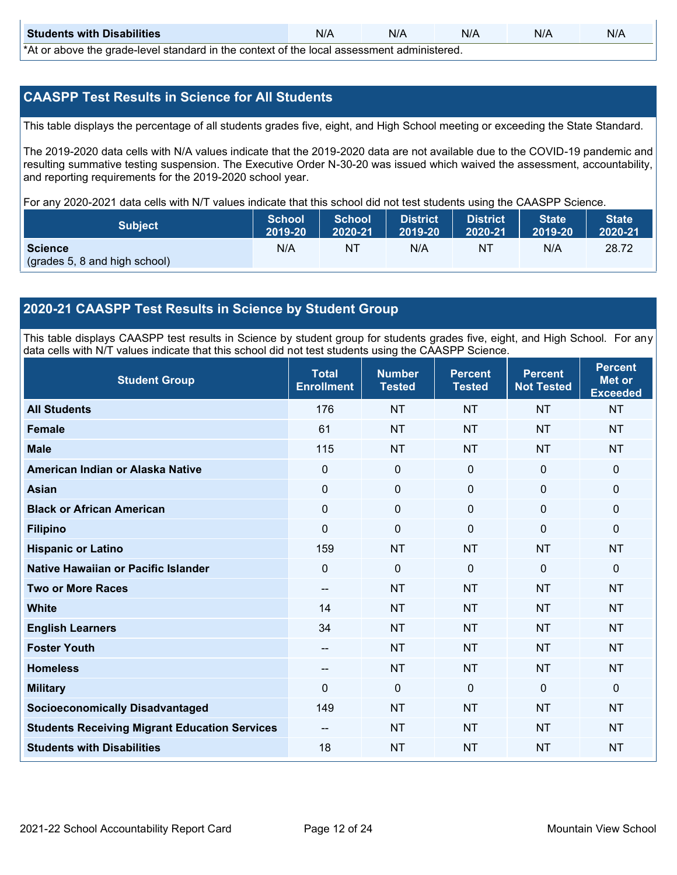| <b>Students with Disabilities</b>                                                           | N/A | N/A | N/A | N/A | N/A |  |  |  |
|---------------------------------------------------------------------------------------------|-----|-----|-----|-----|-----|--|--|--|
| *At as above the escale level standard in the context of the local accordinate admissioned. |     |     |     |     |     |  |  |  |

\*At or above the grade-level standard in the context of the local assessment administered.

# **CAASPP Test Results in Science for All Students**

This table displays the percentage of all students grades five, eight, and High School meeting or exceeding the State Standard.

The 2019-2020 data cells with N/A values indicate that the 2019-2020 data are not available due to the COVID-19 pandemic and resulting summative testing suspension. The Executive Order N-30-20 was issued which waived the assessment, accountability, and reporting requirements for the 2019-2020 school year.

For any 2020-2021 data cells with N/T values indicate that this school did not test students using the CAASPP Science.

| <b>Subject</b>                | <b>School</b><br>2019-20 | <b>School</b><br>2020-21 | <b>District</b><br>12019-20 | District<br>2020-21 | <b>State</b><br>2019-20 | <b>State</b><br>2020-21 |
|-------------------------------|--------------------------|--------------------------|-----------------------------|---------------------|-------------------------|-------------------------|
| <b>Science</b>                | N/A                      | NT                       | N/A                         | NT                  | N/A                     | 28.72                   |
| (grades 5, 8 and high school) |                          |                          |                             |                     |                         |                         |

# **2020-21 CAASPP Test Results in Science by Student Group**

This table displays CAASPP test results in Science by student group for students grades five, eight, and High School. For any data cells with N/T values indicate that this school did not test students using the CAASPP Science.

| <b>Student Group</b>                                 | <b>Total</b><br><b>Enrollment</b> | <b>Number</b><br><b>Tested</b> | <b>Percent</b><br><b>Tested</b> | <b>Percent</b><br><b>Not Tested</b> | <b>Percent</b><br><b>Met or</b><br><b>Exceeded</b> |
|------------------------------------------------------|-----------------------------------|--------------------------------|---------------------------------|-------------------------------------|----------------------------------------------------|
| <b>All Students</b>                                  | 176                               | <b>NT</b>                      | <b>NT</b>                       | <b>NT</b>                           | <b>NT</b>                                          |
| <b>Female</b>                                        | 61                                | <b>NT</b>                      | <b>NT</b>                       | <b>NT</b>                           | <b>NT</b>                                          |
| <b>Male</b>                                          | 115                               | <b>NT</b>                      | <b>NT</b>                       | <b>NT</b>                           | <b>NT</b>                                          |
| American Indian or Alaska Native                     | 0                                 | $\mathbf 0$                    | $\mathbf 0$                     | $\mathbf 0$                         | $\mathbf{0}$                                       |
| <b>Asian</b>                                         | $\mathbf 0$                       | $\mathbf 0$                    | $\mathbf 0$                     | $\mathbf 0$                         | $\mathbf{0}$                                       |
| <b>Black or African American</b>                     | $\mathbf 0$                       | $\mathbf 0$                    | $\mathbf 0$                     | 0                                   | $\mathbf 0$                                        |
| <b>Filipino</b>                                      | 0                                 | $\mathbf 0$                    | $\mathbf{0}$                    | $\Omega$                            | $\mathbf 0$                                        |
| <b>Hispanic or Latino</b>                            | 159                               | <b>NT</b>                      | <b>NT</b>                       | <b>NT</b>                           | <b>NT</b>                                          |
| Native Hawaiian or Pacific Islander                  | 0                                 | $\mathbf 0$                    | $\mathbf{0}$                    | $\mathbf 0$                         | $\mathbf{0}$                                       |
| <b>Two or More Races</b>                             | --                                | <b>NT</b>                      | <b>NT</b>                       | <b>NT</b>                           | <b>NT</b>                                          |
| <b>White</b>                                         | 14                                | <b>NT</b>                      | <b>NT</b>                       | <b>NT</b>                           | <b>NT</b>                                          |
| <b>English Learners</b>                              | 34                                | <b>NT</b>                      | <b>NT</b>                       | <b>NT</b>                           | <b>NT</b>                                          |
| <b>Foster Youth</b>                                  | $-$                               | <b>NT</b>                      | <b>NT</b>                       | <b>NT</b>                           | <b>NT</b>                                          |
| <b>Homeless</b>                                      | --                                | <b>NT</b>                      | <b>NT</b>                       | <b>NT</b>                           | <b>NT</b>                                          |
| <b>Military</b>                                      | 0                                 | $\mathbf 0$                    | $\mathbf{0}$                    | $\mathbf{0}$                        | $\mathbf{0}$                                       |
| <b>Socioeconomically Disadvantaged</b>               | 149                               | <b>NT</b>                      | <b>NT</b>                       | <b>NT</b>                           | <b>NT</b>                                          |
| <b>Students Receiving Migrant Education Services</b> | $-$                               | <b>NT</b>                      | <b>NT</b>                       | <b>NT</b>                           | <b>NT</b>                                          |
| <b>Students with Disabilities</b>                    | 18                                | <b>NT</b>                      | <b>NT</b>                       | <b>NT</b>                           | <b>NT</b>                                          |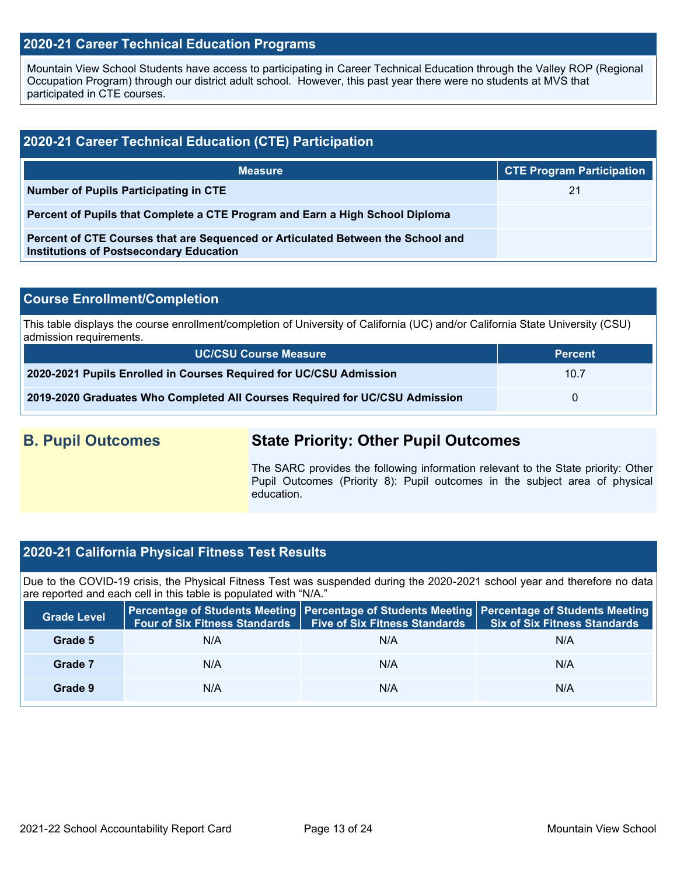## **2020-21 Career Technical Education Programs**

Mountain View School Students have access to participating in Career Technical Education through the Valley ROP (Regional Occupation Program) through our district adult school. However, this past year there were no students at MVS that participated in CTE courses.

| 2020-21 Career Technical Education (CTE) Participation                                                                            |                                  |  |  |  |  |  |
|-----------------------------------------------------------------------------------------------------------------------------------|----------------------------------|--|--|--|--|--|
| <b>Measure</b>                                                                                                                    | <b>CTE Program Participation</b> |  |  |  |  |  |
| Number of Pupils Participating in CTE                                                                                             | 21                               |  |  |  |  |  |
| Percent of Pupils that Complete a CTE Program and Earn a High School Diploma                                                      |                                  |  |  |  |  |  |
| Percent of CTE Courses that are Sequenced or Articulated Between the School and<br><b>Institutions of Postsecondary Education</b> |                                  |  |  |  |  |  |

#### **Course Enrollment/Completion**

This table displays the course enrollment/completion of University of California (UC) and/or California State University (CSU) admission requirements.

| <b>UC/CSU Course Measure</b>                                                | <b>Percent</b> |
|-----------------------------------------------------------------------------|----------------|
| 2020-2021 Pupils Enrolled in Courses Required for UC/CSU Admission          | 10.7           |
| 2019-2020 Graduates Who Completed All Courses Required for UC/CSU Admission |                |

# **B. Pupil Outcomes State Priority: Other Pupil Outcomes**

The SARC provides the following information relevant to the State priority: Other Pupil Outcomes (Priority 8): Pupil outcomes in the subject area of physical education.

### **2020-21 California Physical Fitness Test Results**

Due to the COVID-19 crisis, the Physical Fitness Test was suspended during the 2020-2021 school year and therefore no data are reported and each cell in this table is populated with "N/A."

| <b>Grade Level</b> | <b>Four of Six Fitness Standards</b> | <b>Five of Six Fitness Standards</b> | Percentage of Students Meeting   Percentage of Students Meeting   Percentage of Students Meeting<br><b>Six of Six Fitness Standards</b> |
|--------------------|--------------------------------------|--------------------------------------|-----------------------------------------------------------------------------------------------------------------------------------------|
| Grade 5            | N/A                                  | N/A                                  | N/A                                                                                                                                     |
| Grade 7            | N/A                                  | N/A                                  | N/A                                                                                                                                     |
| Grade 9            | N/A                                  | N/A                                  | N/A                                                                                                                                     |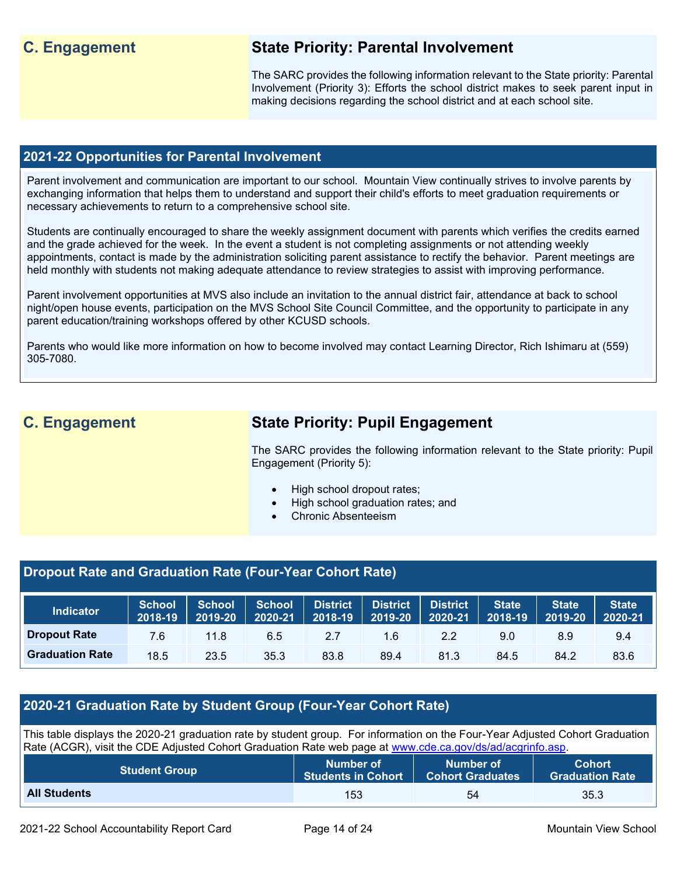# **C. Engagement State Priority: Parental Involvement**

The SARC provides the following information relevant to the State priority: Parental Involvement (Priority 3): Efforts the school district makes to seek parent input in making decisions regarding the school district and at each school site.

## **2021-22 Opportunities for Parental Involvement**

Parent involvement and communication are important to our school. Mountain View continually strives to involve parents by exchanging information that helps them to understand and support their child's efforts to meet graduation requirements or necessary achievements to return to a comprehensive school site.

Students are continually encouraged to share the weekly assignment document with parents which verifies the credits earned and the grade achieved for the week. In the event a student is not completing assignments or not attending weekly appointments, contact is made by the administration soliciting parent assistance to rectify the behavior. Parent meetings are held monthly with students not making adequate attendance to review strategies to assist with improving performance.

Parent involvement opportunities at MVS also include an invitation to the annual district fair, attendance at back to school night/open house events, participation on the MVS School Site Council Committee, and the opportunity to participate in any parent education/training workshops offered by other KCUSD schools.

Parents who would like more information on how to become involved may contact Learning Director, Rich Ishimaru at (559) 305-7080.

# **C. Engagement State Priority: Pupil Engagement**

The SARC provides the following information relevant to the State priority: Pupil Engagement (Priority 5):

- High school dropout rates;
- High school graduation rates; and
- Chronic Absenteeism

# **Dropout Rate and Graduation Rate (Four-Year Cohort Rate)**

| <b>Indicator</b>       | <b>School</b><br>2018-19 | <b>School</b><br>2019-20 | School<br>2020-21 |      | District District<br>$\overline{2018}$ -19 2019-20 | District<br>2020-21 | <b>State</b><br>2018-19 | <b>State</b><br>2019-20 | <b>State</b><br>2020-21 |
|------------------------|--------------------------|--------------------------|-------------------|------|----------------------------------------------------|---------------------|-------------------------|-------------------------|-------------------------|
| <b>Dropout Rate</b>    | 7.6                      | 11.8                     | 6.5               | 2.7  | 1.6                                                | 2.2                 | 9.0                     | 8.9                     | 9.4                     |
| <b>Graduation Rate</b> | 18.5                     | 23.5                     | 35.3              | 83.8 | 89.4                                               | 81.3                | 84.5                    | 84.2                    | 83.6                    |

# **2020-21 Graduation Rate by Student Group (Four-Year Cohort Rate)**

This table displays the 2020-21 graduation rate by student group. For information on the Four-Year Adjusted Cohort Graduation Rate (ACGR), visit the CDE Adjusted Cohort Graduation Rate web page at [www.cde.ca.gov/ds/ad/acgrinfo.asp.](http://www.cde.ca.gov/ds/ad/acgrinfo.asp)

| <b>Student Group</b> | Number of                 | Number of               | <b>Cohort</b>          |
|----------------------|---------------------------|-------------------------|------------------------|
|                      | <b>Students in Cohort</b> | <b>Cohort Graduates</b> | <b>Graduation Rate</b> |
| <b>All Students</b>  | 153                       | 54                      | 35.3                   |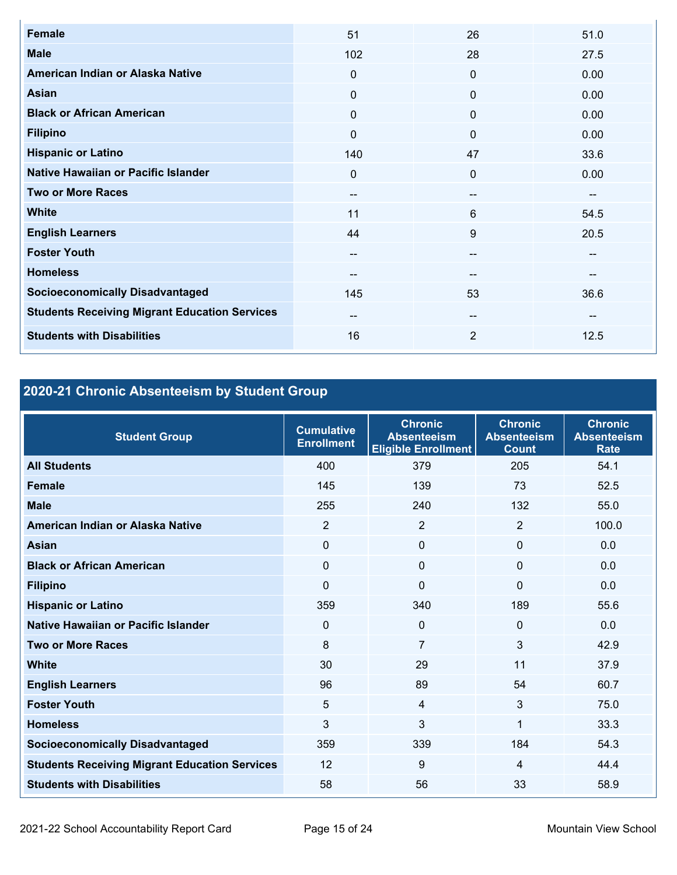| <b>Female</b>                                        | 51           | 26           | 51.0 |
|------------------------------------------------------|--------------|--------------|------|
| <b>Male</b>                                          | 102          | 28           | 27.5 |
| American Indian or Alaska Native                     | 0            | $\mathbf 0$  | 0.00 |
| Asian                                                | 0            | $\mathbf 0$  | 0.00 |
| <b>Black or African American</b>                     | $\mathbf{0}$ | $\mathbf{0}$ | 0.00 |
| <b>Filipino</b>                                      | $\mathbf{0}$ | $\mathbf 0$  | 0.00 |
| <b>Hispanic or Latino</b>                            | 140          | 47           | 33.6 |
| Native Hawaiian or Pacific Islander                  | $\Omega$     | $\mathbf 0$  | 0.00 |
| <b>Two or More Races</b>                             | --           | --           | --   |
| <b>White</b>                                         | 11           | 6            | 54.5 |
| <b>English Learners</b>                              | 44           | 9            | 20.5 |
| <b>Foster Youth</b>                                  | --           | --           | --   |
| <b>Homeless</b>                                      | --           | --           | --   |
| <b>Socioeconomically Disadvantaged</b>               | 145          | 53           | 36.6 |
| <b>Students Receiving Migrant Education Services</b> | --           | --           | --   |
| <b>Students with Disabilities</b>                    | 16           | 2            | 12.5 |

# **2020-21 Chronic Absenteeism by Student Group**

| <b>Student Group</b>                                 | <b>Cumulative</b><br><b>Enrollment</b> | <b>Chronic</b><br><b>Absenteeism</b><br><b>Eligible Enrollment</b> | <b>Chronic</b><br><b>Absenteeism</b><br><b>Count</b> | <b>Chronic</b><br><b>Absenteeism</b><br><b>Rate</b> |
|------------------------------------------------------|----------------------------------------|--------------------------------------------------------------------|------------------------------------------------------|-----------------------------------------------------|
| <b>All Students</b>                                  | 400                                    | 379                                                                | 205                                                  | 54.1                                                |
| <b>Female</b>                                        | 145                                    | 139                                                                | 73                                                   | 52.5                                                |
| <b>Male</b>                                          | 255                                    | 240                                                                | 132                                                  | 55.0                                                |
| American Indian or Alaska Native                     | 2                                      | $\overline{2}$                                                     | $\overline{2}$                                       | 100.0                                               |
| Asian                                                | $\Omega$                               | $\mathbf{0}$                                                       | $\mathbf{0}$                                         | 0.0                                                 |
| <b>Black or African American</b>                     | $\mathbf{0}$                           | $\mathbf 0$                                                        | $\mathbf{0}$                                         | 0.0                                                 |
| <b>Filipino</b>                                      | $\Omega$                               | $\mathbf 0$                                                        | 0                                                    | 0.0                                                 |
| <b>Hispanic or Latino</b>                            | 359                                    | 340                                                                | 189                                                  | 55.6                                                |
| Native Hawaiian or Pacific Islander                  | $\Omega$                               | $\mathbf 0$                                                        | $\mathbf{0}$                                         | 0.0                                                 |
| <b>Two or More Races</b>                             | 8                                      | $\overline{7}$                                                     | 3                                                    | 42.9                                                |
| <b>White</b>                                         | 30                                     | 29                                                                 | 11                                                   | 37.9                                                |
| <b>English Learners</b>                              | 96                                     | 89                                                                 | 54                                                   | 60.7                                                |
| <b>Foster Youth</b>                                  | 5                                      | $\overline{4}$                                                     | 3                                                    | 75.0                                                |
| <b>Homeless</b>                                      | 3                                      | 3                                                                  | 1                                                    | 33.3                                                |
| <b>Socioeconomically Disadvantaged</b>               | 359                                    | 339                                                                | 184                                                  | 54.3                                                |
| <b>Students Receiving Migrant Education Services</b> | 12                                     | 9                                                                  | 4                                                    | 44.4                                                |
| <b>Students with Disabilities</b>                    | 58                                     | 56                                                                 | 33                                                   | 58.9                                                |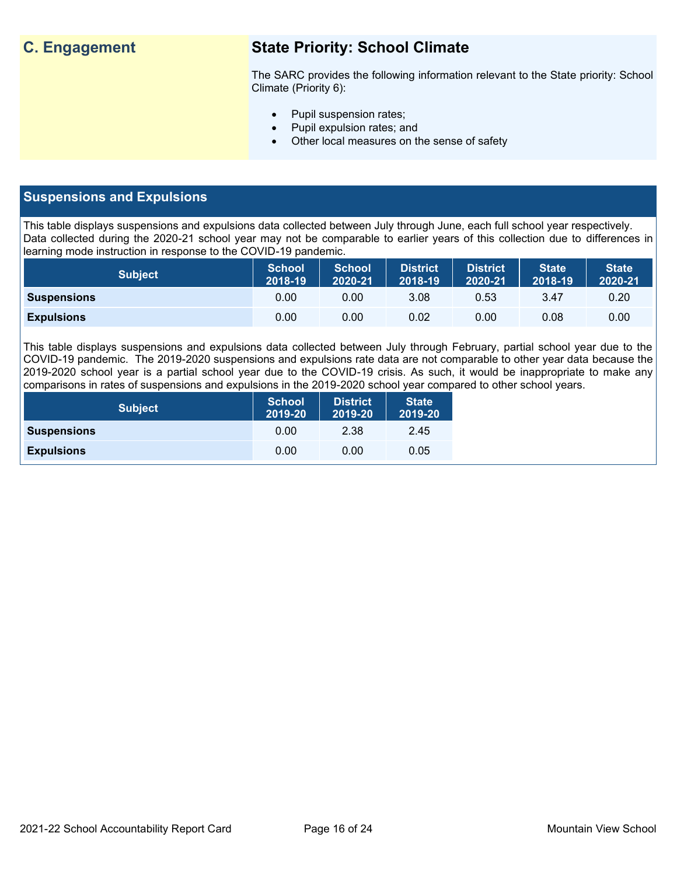# **C. Engagement State Priority: School Climate**

The SARC provides the following information relevant to the State priority: School Climate (Priority 6):

- Pupil suspension rates;
- Pupil expulsion rates; and
- Other local measures on the sense of safety

# **Suspensions and Expulsions**

This table displays suspensions and expulsions data collected between July through June, each full school year respectively. Data collected during the 2020-21 school year may not be comparable to earlier years of this collection due to differences in learning mode instruction in response to the COVID-19 pandemic.

| <b>Subject</b>     | <b>School</b><br>2018-19 | <b>School</b><br>2020-21 | District<br>2018-19 | District<br>2020-21 | <b>State</b><br>2018-19 | <b>State</b><br>2020-21 |
|--------------------|--------------------------|--------------------------|---------------------|---------------------|-------------------------|-------------------------|
| <b>Suspensions</b> | 0.00                     | 0.00                     | 3.08                | 0.53                | 3.47                    | 0.20                    |
| <b>Expulsions</b>  | 0.00                     | 0.00                     | 0.02                | 0.00                | 0.08                    | 0.00                    |

This table displays suspensions and expulsions data collected between July through February, partial school year due to the COVID-19 pandemic. The 2019-2020 suspensions and expulsions rate data are not comparable to other year data because the 2019-2020 school year is a partial school year due to the COVID-19 crisis. As such, it would be inappropriate to make any comparisons in rates of suspensions and expulsions in the 2019-2020 school year compared to other school years.

| <b>Subject</b>     | <b>School</b><br>2019-20 | <b>District</b><br>2019-20 | <b>State</b><br>2019-20 |
|--------------------|--------------------------|----------------------------|-------------------------|
| <b>Suspensions</b> | 0.00                     | 2.38                       | 2.45                    |
| <b>Expulsions</b>  | 0.00                     | 0.00                       | 0.05                    |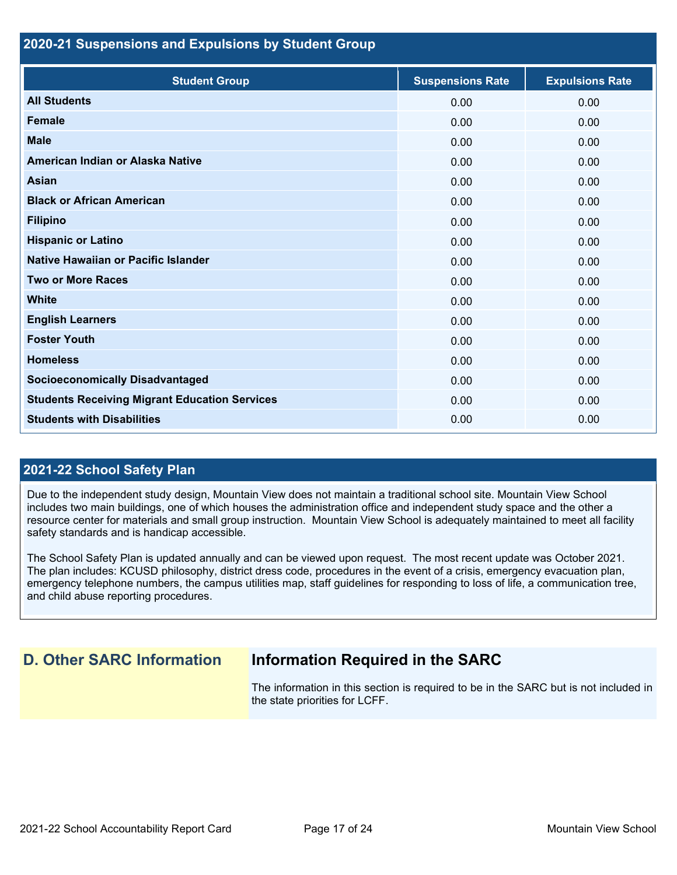### **2020-21 Suspensions and Expulsions by Student Group**

| <b>Student Group</b>                                 | <b>Suspensions Rate</b> | <b>Expulsions Rate</b> |
|------------------------------------------------------|-------------------------|------------------------|
| <b>All Students</b>                                  | 0.00                    | 0.00                   |
| <b>Female</b>                                        | 0.00                    | 0.00                   |
| <b>Male</b>                                          | 0.00                    | 0.00                   |
| American Indian or Alaska Native                     | 0.00                    | 0.00                   |
| <b>Asian</b>                                         | 0.00                    | 0.00                   |
| <b>Black or African American</b>                     | 0.00                    | 0.00                   |
| <b>Filipino</b>                                      | 0.00                    | 0.00                   |
| <b>Hispanic or Latino</b>                            | 0.00                    | 0.00                   |
| Native Hawaiian or Pacific Islander                  | 0.00                    | 0.00                   |
| <b>Two or More Races</b>                             | 0.00                    | 0.00                   |
| <b>White</b>                                         | 0.00                    | 0.00                   |
| <b>English Learners</b>                              | 0.00                    | 0.00                   |
| <b>Foster Youth</b>                                  | 0.00                    | 0.00                   |
| <b>Homeless</b>                                      | 0.00                    | 0.00                   |
| <b>Socioeconomically Disadvantaged</b>               | 0.00                    | 0.00                   |
| <b>Students Receiving Migrant Education Services</b> | 0.00                    | 0.00                   |
| <b>Students with Disabilities</b>                    | 0.00                    | 0.00                   |

### **2021-22 School Safety Plan**

Due to the independent study design, Mountain View does not maintain a traditional school site. Mountain View School includes two main buildings, one of which houses the administration office and independent study space and the other a resource center for materials and small group instruction. Mountain View School is adequately maintained to meet all facility safety standards and is handicap accessible.

The School Safety Plan is updated annually and can be viewed upon request. The most recent update was October 2021. The plan includes: KCUSD philosophy, district dress code, procedures in the event of a crisis, emergency evacuation plan, emergency telephone numbers, the campus utilities map, staff guidelines for responding to loss of life, a communication tree, and child abuse reporting procedures.

# **D. Other SARC Information Information Required in the SARC**

The information in this section is required to be in the SARC but is not included in the state priorities for LCFF.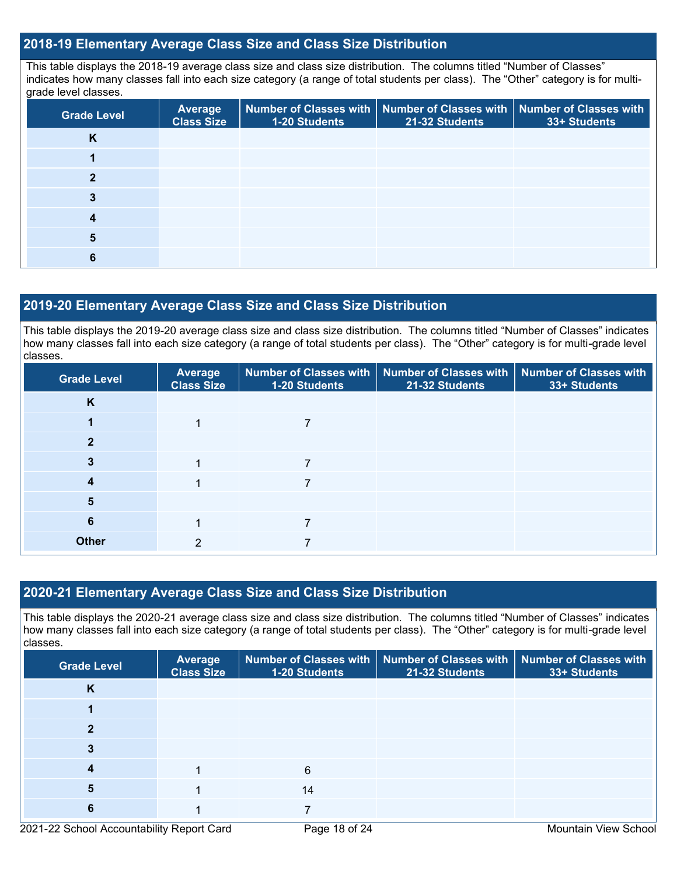# **2018-19 Elementary Average Class Size and Class Size Distribution**

This table displays the 2018-19 average class size and class size distribution. The columns titled "Number of Classes" indicates how many classes fall into each size category (a range of total students per class). The "Other" category is for multigrade level classes.

| <b>Grade Level</b> | <b>Average</b><br><b>Class Size</b> | 1-20 Students | Number of Classes with   Number of Classes with  <br>21-32 Students | <b>Number of Classes with</b><br>33+ Students |
|--------------------|-------------------------------------|---------------|---------------------------------------------------------------------|-----------------------------------------------|
| K                  |                                     |               |                                                                     |                                               |
|                    |                                     |               |                                                                     |                                               |
| 2                  |                                     |               |                                                                     |                                               |
|                    |                                     |               |                                                                     |                                               |
|                    |                                     |               |                                                                     |                                               |
|                    |                                     |               |                                                                     |                                               |
|                    |                                     |               |                                                                     |                                               |

### **2019-20 Elementary Average Class Size and Class Size Distribution**

This table displays the 2019-20 average class size and class size distribution. The columns titled "Number of Classes" indicates how many classes fall into each size category (a range of total students per class). The "Other" category is for multi-grade level classes.

| <b>Grade Level</b> | Average<br><b>Class Size</b> | 1-20 Students | Number of Classes with   Number of Classes with   Number of Classes with<br>21-32 Students | 33+ Students |
|--------------------|------------------------------|---------------|--------------------------------------------------------------------------------------------|--------------|
| K                  |                              |               |                                                                                            |              |
|                    |                              |               |                                                                                            |              |
|                    |                              |               |                                                                                            |              |
|                    |                              |               |                                                                                            |              |
| 4                  |                              |               |                                                                                            |              |
| 5                  |                              |               |                                                                                            |              |
| 6                  |                              |               |                                                                                            |              |
| <b>Other</b>       | っ                            |               |                                                                                            |              |

# **2020-21 Elementary Average Class Size and Class Size Distribution**

This table displays the 2020-21 average class size and class size distribution. The columns titled "Number of Classes" indicates how many classes fall into each size category (a range of total students per class). The "Other" category is for multi-grade level classes.

| <b>Grade Level</b> | <b>Average</b><br><b>Class Size</b> | 1-20 Students | Number of Classes with   Number of Classes with  <br>21-32 Students | <b>Number of Classes with</b><br>33+ Students |
|--------------------|-------------------------------------|---------------|---------------------------------------------------------------------|-----------------------------------------------|
| K                  |                                     |               |                                                                     |                                               |
|                    |                                     |               |                                                                     |                                               |
|                    |                                     |               |                                                                     |                                               |
|                    |                                     |               |                                                                     |                                               |
|                    |                                     | 6             |                                                                     |                                               |
| 5                  |                                     | 14            |                                                                     |                                               |
| 6                  |                                     |               |                                                                     |                                               |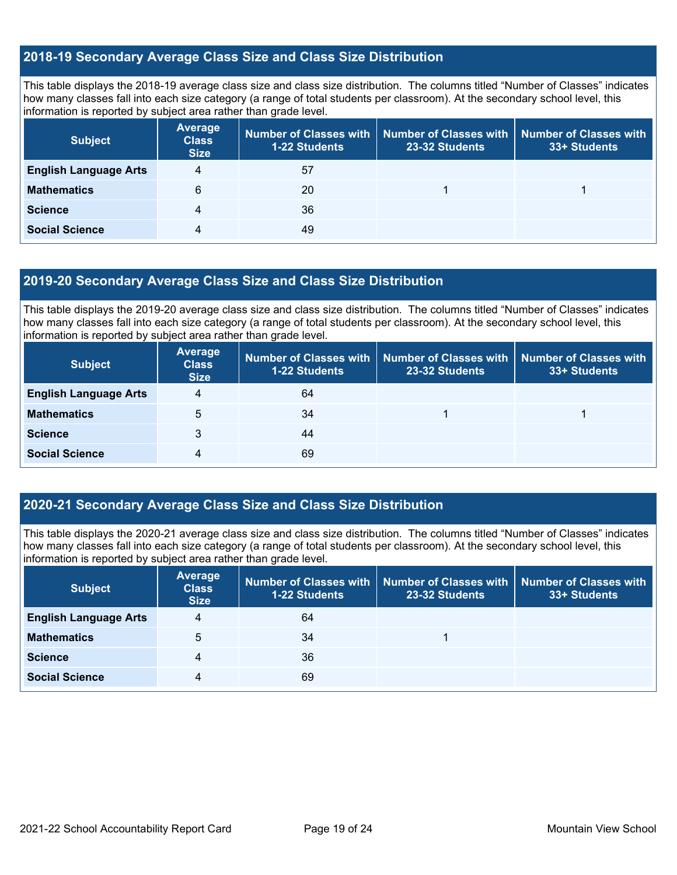# **2018-19 Secondary Average Class Size and Class Size Distribution**

This table displays the 2018-19 average class size and class size distribution. The columns titled "Number of Classes" indicates how many classes fall into each size category (a range of total students per classroom). At the secondary school level, this information is reported by subject area rather than grade level.

| <b>Subject</b>               | <b>Average</b><br><b>Class</b><br><b>Size</b> | <b>1-22 Students</b> | Number of Classes with   Number of Classes with   Number of Classes with<br>23-32 Students | 33+ Students |
|------------------------------|-----------------------------------------------|----------------------|--------------------------------------------------------------------------------------------|--------------|
| <b>English Language Arts</b> | 4                                             | 57                   |                                                                                            |              |
| <b>Mathematics</b>           | 6                                             | 20                   |                                                                                            |              |
| <b>Science</b>               | 4                                             | 36                   |                                                                                            |              |
| <b>Social Science</b>        | 4                                             | 49                   |                                                                                            |              |

# **2019-20 Secondary Average Class Size and Class Size Distribution**

This table displays the 2019-20 average class size and class size distribution. The columns titled "Number of Classes" indicates how many classes fall into each size category (a range of total students per classroom). At the secondary school level, this information is reported by subject area rather than grade level.

| <b>Subject</b>               | <b>Average</b><br><b>Class</b><br><b>Size</b> | 1-22 Students | Number of Classes with   Number of Classes with  <br>23-32 Students | <b>Number of Classes with</b><br>33+ Students |
|------------------------------|-----------------------------------------------|---------------|---------------------------------------------------------------------|-----------------------------------------------|
| <b>English Language Arts</b> | 4                                             | 64            |                                                                     |                                               |
| <b>Mathematics</b>           | 5                                             | 34            |                                                                     |                                               |
| <b>Science</b>               | 3                                             | 44            |                                                                     |                                               |
| <b>Social Science</b>        | 4                                             | 69            |                                                                     |                                               |

# **2020-21 Secondary Average Class Size and Class Size Distribution**

This table displays the 2020-21 average class size and class size distribution. The columns titled "Number of Classes" indicates how many classes fall into each size category (a range of total students per classroom). At the secondary school level, this information is reported by subject area rather than grade level.

| <b>Subject</b>               | <b>Average</b><br><b>Class</b><br><b>Size</b> | Number of Classes with<br><b>1-22 Students</b> | 23-32 Students | Number of Classes with Number of Classes with<br>33+ Students |
|------------------------------|-----------------------------------------------|------------------------------------------------|----------------|---------------------------------------------------------------|
| <b>English Language Arts</b> | 4                                             | 64                                             |                |                                                               |
| <b>Mathematics</b>           | 5                                             | 34                                             |                |                                                               |
| <b>Science</b>               | 4                                             | 36                                             |                |                                                               |
| <b>Social Science</b>        | 4                                             | 69                                             |                |                                                               |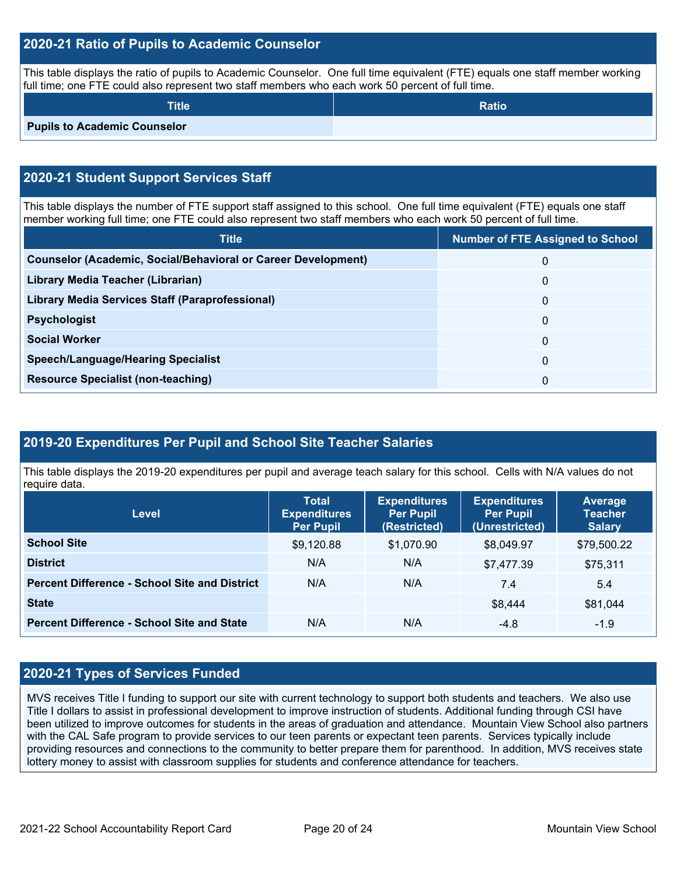# **2020-21 Ratio of Pupils to Academic Counselor**

This table displays the ratio of pupils to Academic Counselor. One full time equivalent (FTE) equals one staff member working full time; one FTE could also represent two staff members who each work 50 percent of full time.

| <b>Title</b>                        | <b>Ratio</b> |
|-------------------------------------|--------------|
| <b>Pupils to Academic Counselor</b> |              |

# **2020-21 Student Support Services Staff**

This table displays the number of FTE support staff assigned to this school. One full time equivalent (FTE) equals one staff member working full time; one FTE could also represent two staff members who each work 50 percent of full time.

| <b>Title</b>                                                         | <b>Number of FTE Assigned to School</b> |
|----------------------------------------------------------------------|-----------------------------------------|
| <b>Counselor (Academic, Social/Behavioral or Career Development)</b> | 0                                       |
| Library Media Teacher (Librarian)                                    | 0                                       |
| Library Media Services Staff (Paraprofessional)                      | 0                                       |
| <b>Psychologist</b>                                                  | $\mathbf{0}$                            |
| <b>Social Worker</b>                                                 | 0                                       |
| <b>Speech/Language/Hearing Specialist</b>                            | $\mathbf{0}$                            |
| <b>Resource Specialist (non-teaching)</b>                            | 0                                       |

# **2019-20 Expenditures Per Pupil and School Site Teacher Salaries**

This table displays the 2019-20 expenditures per pupil and average teach salary for this school. Cells with N/A values do not require data.

| Level                                                | <b>Total</b><br><b>Expenditures</b><br><b>Per Pupil</b> | <b>Expenditures</b><br><b>Per Pupil</b><br>(Restricted) | <b>Expenditures</b><br><b>Per Pupil</b><br>(Unrestricted) | <b>Average</b><br><b>Teacher</b><br><b>Salary</b> |
|------------------------------------------------------|---------------------------------------------------------|---------------------------------------------------------|-----------------------------------------------------------|---------------------------------------------------|
| <b>School Site</b>                                   | \$9,120.88                                              | \$1,070.90                                              | \$8,049.97                                                | \$79,500.22                                       |
| <b>District</b>                                      | N/A                                                     | N/A                                                     | \$7,477.39                                                | \$75,311                                          |
| <b>Percent Difference - School Site and District</b> | N/A                                                     | N/A                                                     | 7.4                                                       | 5.4                                               |
| <b>State</b>                                         |                                                         |                                                         | \$8,444                                                   | \$81,044                                          |
| <b>Percent Difference - School Site and State</b>    | N/A                                                     | N/A                                                     | $-4.8$                                                    | $-1.9$                                            |

# **2020-21 Types of Services Funded**

MVS receives Title I funding to support our site with current technology to support both students and teachers. We also use Title I dollars to assist in professional development to improve instruction of students. Additional funding through CSI have been utilized to improve outcomes for students in the areas of graduation and attendance. Mountain View School also partners with the CAL Safe program to provide services to our teen parents or expectant teen parents. Services typically include providing resources and connections to the community to better prepare them for parenthood. In addition, MVS receives state lottery money to assist with classroom supplies for students and conference attendance for teachers.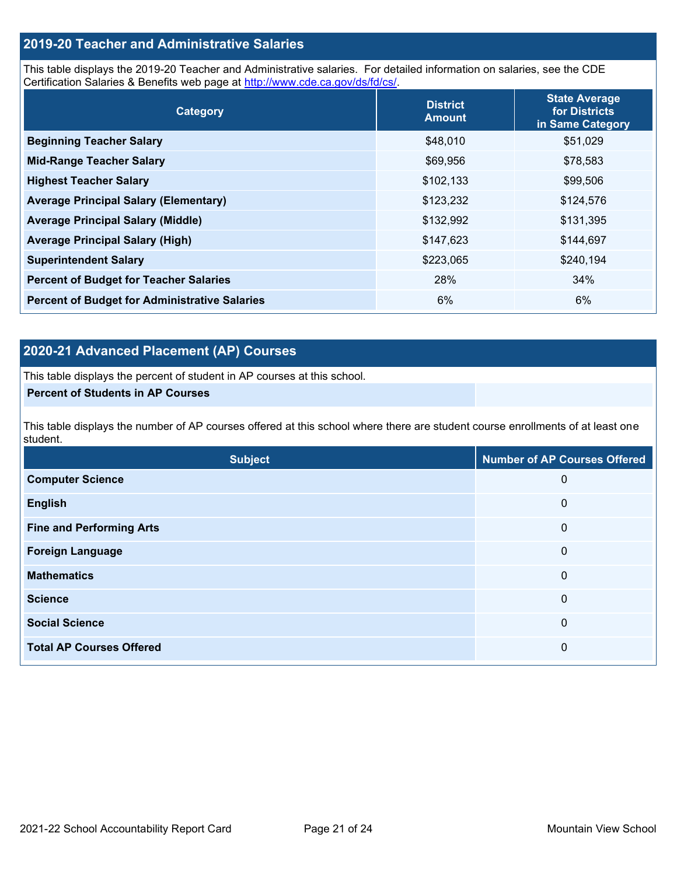# **2019-20 Teacher and Administrative Salaries**

This table displays the 2019-20 Teacher and Administrative salaries. For detailed information on salaries, see the CDE Certification Salaries & Benefits web page at [http://www.cde.ca.gov/ds/fd/cs/.](http://www.cde.ca.gov/ds/fd/cs/)

| Category                                             | <b>District</b><br><b>Amount</b> | <b>State Average</b><br>for Districts<br>in Same Category |
|------------------------------------------------------|----------------------------------|-----------------------------------------------------------|
| <b>Beginning Teacher Salary</b>                      | \$48,010                         | \$51,029                                                  |
| <b>Mid-Range Teacher Salary</b>                      | \$69,956                         | \$78,583                                                  |
| <b>Highest Teacher Salary</b>                        | \$102,133                        | \$99,506                                                  |
| <b>Average Principal Salary (Elementary)</b>         | \$123,232                        | \$124,576                                                 |
| <b>Average Principal Salary (Middle)</b>             | \$132,992                        | \$131,395                                                 |
| <b>Average Principal Salary (High)</b>               | \$147,623                        | \$144,697                                                 |
| <b>Superintendent Salary</b>                         | \$223,065                        | \$240,194                                                 |
| <b>Percent of Budget for Teacher Salaries</b>        | 28%                              | 34%                                                       |
| <b>Percent of Budget for Administrative Salaries</b> | 6%                               | 6%                                                        |

# **2020-21 Advanced Placement (AP) Courses**

This table displays the percent of student in AP courses at this school.

#### **Percent of Students in AP Courses**

This table displays the number of AP courses offered at this school where there are student course enrollments of at least one student.

| <b>Subject</b>                  | <b>Number of AP Courses Offered</b> |
|---------------------------------|-------------------------------------|
| <b>Computer Science</b>         | 0                                   |
| <b>English</b>                  | $\mathbf 0$                         |
| <b>Fine and Performing Arts</b> | 0                                   |
| <b>Foreign Language</b>         | $\mathbf 0$                         |
| <b>Mathematics</b>              | $\mathbf 0$                         |
| <b>Science</b>                  | $\boldsymbol{0}$                    |
| <b>Social Science</b>           | 0                                   |
| <b>Total AP Courses Offered</b> | 0                                   |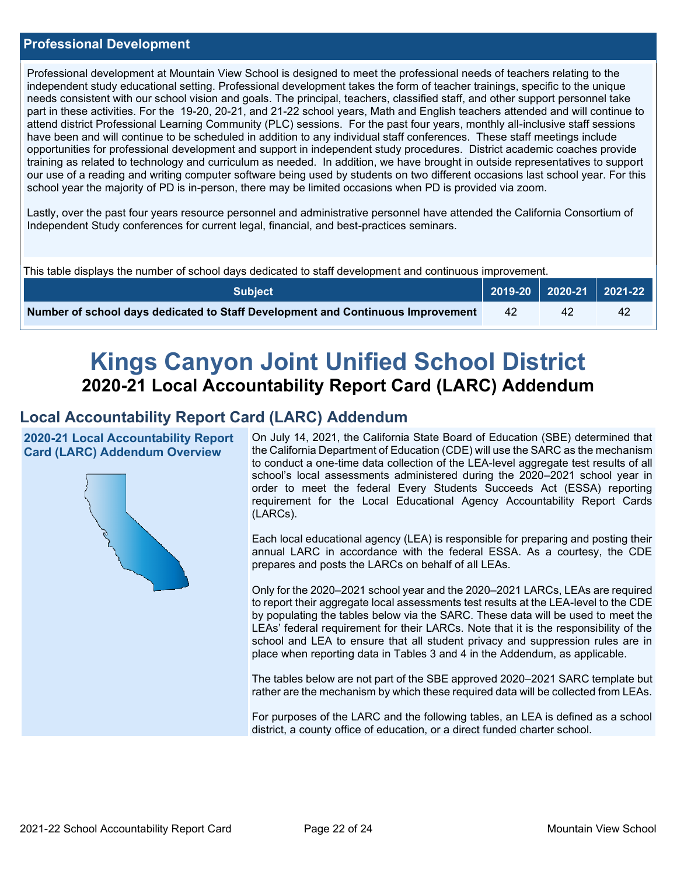## **Professional Development**

Professional development at Mountain View School is designed to meet the professional needs of teachers relating to the independent study educational setting. Professional development takes the form of teacher trainings, specific to the unique needs consistent with our school vision and goals. The principal, teachers, classified staff, and other support personnel take part in these activities. For the 19-20, 20-21, and 21-22 school years, Math and English teachers attended and will continue to attend district Professional Learning Community (PLC) sessions. For the past four years, monthly all-inclusive staff sessions have been and will continue to be scheduled in addition to any individual staff conferences. These staff meetings include opportunities for professional development and support in independent study procedures. District academic coaches provide training as related to technology and curriculum as needed. In addition, we have brought in outside representatives to support our use of a reading and writing computer software being used by students on two different occasions last school year. For this school year the majority of PD is in-person, there may be limited occasions when PD is provided via zoom.

Lastly, over the past four years resource personnel and administrative personnel have attended the California Consortium of Independent Study conferences for current legal, financial, and best-practices seminars.

| This table displays the number of school days dedicated to staff development and continuous improvement. |    |    |                                                                                        |  |  |  |
|----------------------------------------------------------------------------------------------------------|----|----|----------------------------------------------------------------------------------------|--|--|--|
| <b>Subject</b>                                                                                           |    |    | $\begin{array}{ c c c c c c c c c }\n\hline\n2019-20 & 2020-21 & 2021-22\n\end{array}$ |  |  |  |
| Number of school days dedicated to Staff Development and Continuous Improvement                          | 42 | 42 | 42                                                                                     |  |  |  |

# **Kings Canyon Joint Unified School District 2020-21 Local Accountability Report Card (LARC) Addendum**

# **Local Accountability Report Card (LARC) Addendum**

**2020-21 Local Accountability Report Card (LARC) Addendum Overview**



On July 14, 2021, the California State Board of Education (SBE) determined that the California Department of Education (CDE) will use the SARC as the mechanism to conduct a one-time data collection of the LEA-level aggregate test results of all school's local assessments administered during the 2020–2021 school year in order to meet the federal Every Students Succeeds Act (ESSA) reporting requirement for the Local Educational Agency Accountability Report Cards (LARCs).

Each local educational agency (LEA) is responsible for preparing and posting their annual LARC in accordance with the federal ESSA. As a courtesy, the CDE prepares and posts the LARCs on behalf of all LEAs.

Only for the 2020–2021 school year and the 2020–2021 LARCs, LEAs are required to report their aggregate local assessments test results at the LEA-level to the CDE by populating the tables below via the SARC. These data will be used to meet the LEAs' federal requirement for their LARCs. Note that it is the responsibility of the school and LEA to ensure that all student privacy and suppression rules are in place when reporting data in Tables 3 and 4 in the Addendum, as applicable.

The tables below are not part of the SBE approved 2020–2021 SARC template but rather are the mechanism by which these required data will be collected from LEAs.

For purposes of the LARC and the following tables, an LEA is defined as a school district, a county office of education, or a direct funded charter school.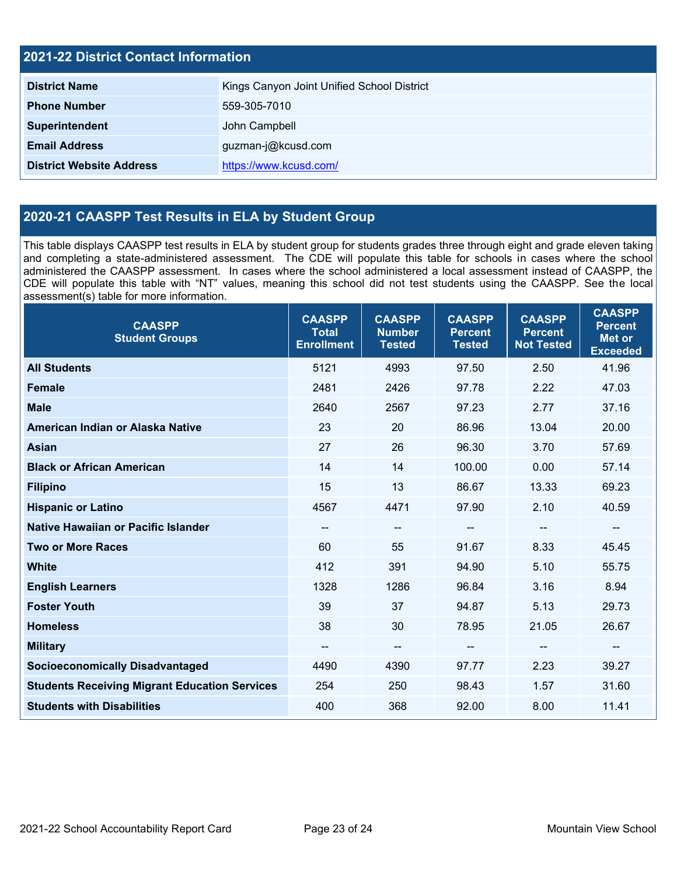| <b>2021-22 District Contact Information</b> |                                            |  |  |  |
|---------------------------------------------|--------------------------------------------|--|--|--|
| <b>District Name</b>                        | Kings Canyon Joint Unified School District |  |  |  |
| <b>Phone Number</b>                         | 559-305-7010                               |  |  |  |
| Superintendent                              | John Campbell                              |  |  |  |
| <b>Email Address</b>                        | guzman-j@kcusd.com                         |  |  |  |
| <b>District Website Address</b>             | https://www.kcusd.com/                     |  |  |  |

# **2020-21 CAASPP Test Results in ELA by Student Group**

This table displays CAASPP test results in ELA by student group for students grades three through eight and grade eleven taking and completing a state-administered assessment. The CDE will populate this table for schools in cases where the school administered the CAASPP assessment. In cases where the school administered a local assessment instead of CAASPP, the CDE will populate this table with "NT" values, meaning this school did not test students using the CAASPP. See the local assessment(s) table for more information.

| <b>CAASPP</b><br><b>Student Groups</b>               | <b>CAASPP</b><br><b>Total</b><br><b>Enrollment</b> | <b>CAASPP</b><br><b>Number</b><br><b>Tested</b> | <b>CAASPP</b><br><b>Percent</b><br><b>Tested</b> | <b>CAASPP</b><br><b>Percent</b><br><b>Not Tested</b> | <b>CAASPP</b><br><b>Percent</b><br><b>Met or</b><br><b>Exceeded</b> |
|------------------------------------------------------|----------------------------------------------------|-------------------------------------------------|--------------------------------------------------|------------------------------------------------------|---------------------------------------------------------------------|
| <b>All Students</b>                                  | 5121                                               | 4993                                            | 97.50                                            | 2.50                                                 | 41.96                                                               |
| <b>Female</b>                                        | 2481                                               | 2426                                            | 97.78                                            | 2.22                                                 | 47.03                                                               |
| <b>Male</b>                                          | 2640                                               | 2567                                            | 97.23                                            | 2.77                                                 | 37.16                                                               |
| American Indian or Alaska Native                     | 23                                                 | 20                                              | 86.96                                            | 13.04                                                | 20.00                                                               |
| <b>Asian</b>                                         | 27                                                 | 26                                              | 96.30                                            | 3.70                                                 | 57.69                                                               |
| <b>Black or African American</b>                     | 14                                                 | 14                                              | 100.00                                           | 0.00                                                 | 57.14                                                               |
| <b>Filipino</b>                                      | 15                                                 | 13                                              | 86.67                                            | 13.33                                                | 69.23                                                               |
| <b>Hispanic or Latino</b>                            | 4567                                               | 4471                                            | 97.90                                            | 2.10                                                 | 40.59                                                               |
| Native Hawaiian or Pacific Islander                  | $\sim$                                             | $\qquad \qquad -$                               | $\overline{\phantom{a}}$                         | $\overline{\phantom{m}}$                             | --                                                                  |
| <b>Two or More Races</b>                             | 60                                                 | 55                                              | 91.67                                            | 8.33                                                 | 45.45                                                               |
| <b>White</b>                                         | 412                                                | 391                                             | 94.90                                            | 5.10                                                 | 55.75                                                               |
| <b>English Learners</b>                              | 1328                                               | 1286                                            | 96.84                                            | 3.16                                                 | 8.94                                                                |
| <b>Foster Youth</b>                                  | 39                                                 | 37                                              | 94.87                                            | 5.13                                                 | 29.73                                                               |
| <b>Homeless</b>                                      | 38                                                 | 30                                              | 78.95                                            | 21.05                                                | 26.67                                                               |
| <b>Military</b>                                      | --                                                 | $\qquad \qquad \qquad -$                        | --                                               | --                                                   | --                                                                  |
| <b>Socioeconomically Disadvantaged</b>               | 4490                                               | 4390                                            | 97.77                                            | 2.23                                                 | 39.27                                                               |
| <b>Students Receiving Migrant Education Services</b> | 254                                                | 250                                             | 98.43                                            | 1.57                                                 | 31.60                                                               |
| <b>Students with Disabilities</b>                    | 400                                                | 368                                             | 92.00                                            | 8.00                                                 | 11.41                                                               |